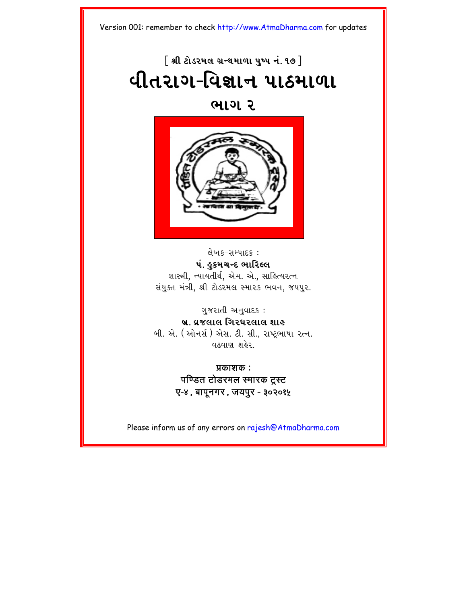# $\lceil$  શ્રી ટોડરમલ ગ્રન્થમાળા પુષ્પ નં. ૧૭  $\rceil$ **યીતરાગ-વિજ્ઞાન પાઠમાળા**

#### **wag 2**



લેખક–સમ્પાદક : પં. હુકમચન્દ ભારિલ્લ શાસ્ત્રી, ન્યાયતીર્થ, એમ. એ., સાહિત્યરત્ન સંયુક્ત મંત્રી, શ્રી ટોડરમલ સ્મારક ભવન, જયપુર.

ગુજરાતી અનુવાદક: **b/. v/jlal igr\rlal xah** બી. એ. (ઓનર્સ) એસ. ટી. સી., રાષ્ટભાષા રત્ન. વઢવાણ શહેર

> **प्रकाशक :** पण्डित टोडरमल स्मारक टस्ट **O-4, bapUngr, jypur - 302015**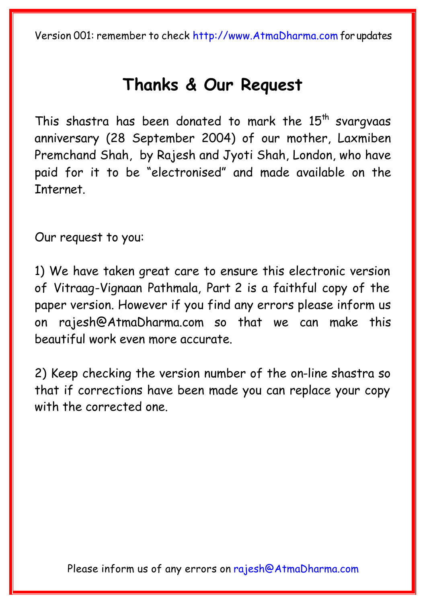## **[Thanks & Our Reque](mailto:rajesh@AtmaDharma.com)st**

This shastra has been donated to mark the  $15<sup>th</sup>$  svargvaas anniversary (28 September 2004) of our mother, Laxmiben Premchand Shah, by Rajesh and Jyoti Shah, London, who have paid for it to be "electronised" and made available on the Internet.

Our request to you:

1) We have taken great care to ensure this electronic version of Vitraag-Vignaan Pathmala, Part 2 is a faithful copy of the paper version. However if you find any errors please inform us on rajesh@AtmaDharma.com so that we can make this beautiful work even more accurate.

2) Keep checking the version number of the on-line shastra so that if corrections have been made you can replace your copy with the corrected one.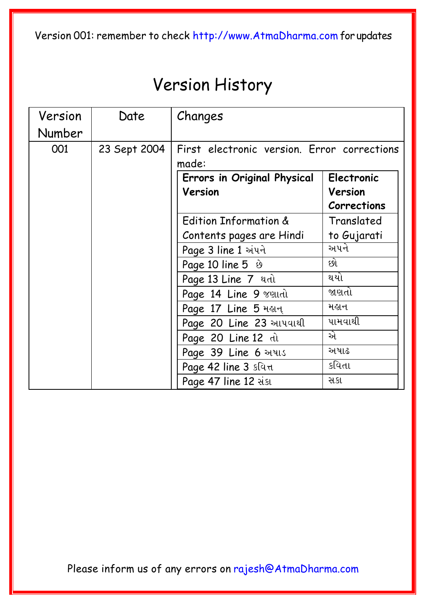## Version History

| Version | Date         | Changes                                          |                    |  |  |
|---------|--------------|--------------------------------------------------|--------------------|--|--|
| Number  |              |                                                  |                    |  |  |
| 001     | 23 Sept 2004 | First electronic version. Error corrections      |                    |  |  |
|         |              | made:                                            |                    |  |  |
|         |              | <b>Electronic</b><br>Errors in Original Physical |                    |  |  |
|         |              | Version                                          | Version            |  |  |
|         |              |                                                  | <b>Corrections</b> |  |  |
|         |              | Edition Information &                            | Translated         |  |  |
|         |              | Contents pages are Hindi                         | to Gujarati        |  |  |
|         |              | Page 3 line 1 अंधने                              | અપને               |  |  |
|         |              | Page 10 line $5 \&$                              | છો                 |  |  |
|         |              | Page 13 Line 7 adl                               | થયો                |  |  |
|         |              | Page 14 Line 9 veudl                             | જાણતો              |  |  |
|         |              | Page 17 Line 5 मरान्                             | મહાન               |  |  |
|         |              | Page 20 Line 23 milual                           | પામવાથી            |  |  |
|         |              | Page 20 Line 12 <i>dl</i>                        | એ                  |  |  |
|         |              | Page 39 Line 6 muls                              | અષાઢ               |  |  |
|         |              | Page 42 line 3 slutt                             | કવિતા              |  |  |
|         |              | Page 47 line 12 aist                             | સકા                |  |  |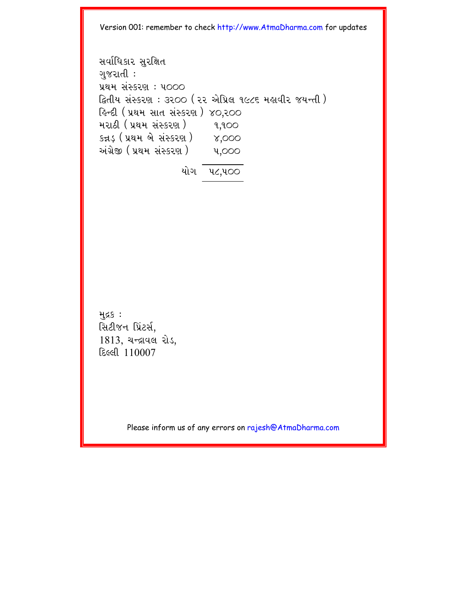svaRi|akar suriÙt gujratI : Ý=m sHSkr` : p000 iätIy sHSkr` : 3200 (22 AeiÝl 1986 mhavIr jyNtI) ihNdI (Ý=m sat sHSkr`) 40,200 mra@I (Ý=m sHSkr`) 1,100 kþD³ (Ý=m be sHSkr`) 4,000 AHg/eÒ (Ý=m sHSkr`) p,000 yaeg p8,p00

મુદ્રક : સિટીજન પ્રિંટર્સ, 1813, यन्द्रायल रोड, દિલ્લી 110007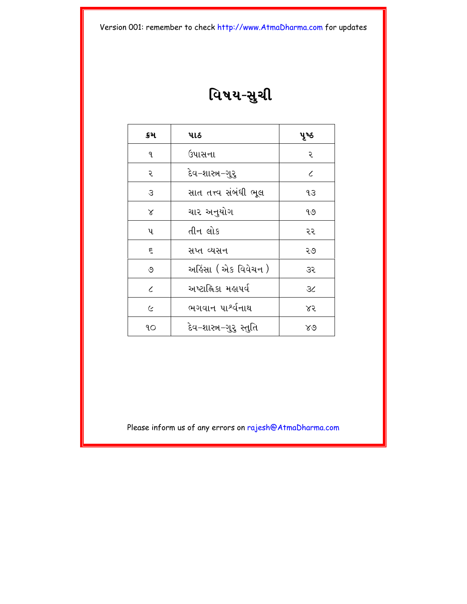# વિષય-સુચી

| ક્રમ                        | પાઠ                           | પૃષ્ઠ      |
|-----------------------------|-------------------------------|------------|
| ٩.                          | ઉપાસના                        | ૨          |
| ૨                           | દેવ−શાસ્ત્ર−ગુરુ              | $\epsilon$ |
| З                           | સાત તત્ત્વ સંબંધી ભૂલ         | JЗ         |
| $\alpha$                    | ચાર અનુયોગ                    | ঀ৩         |
| પ                           | તીન લોક                       | ૨૨         |
| ξ                           | સપ્ત વ્યસન                    | २७         |
| ৩                           | અકિંસા ( એક વિવેચન )          | 35         |
| $\mathcal{L}_{\mathcal{L}}$ | અષ્ટાહ્નિકા મહાપર્વ           | 36         |
| $\overline{C}$              | ભગવાન પા <sup>શ્</sup> ર્વનાથ | ४२         |
| ٩O                          | દેવ−શાસ્ત્ર−ગુરૂ સ્તુતિ       | ४७         |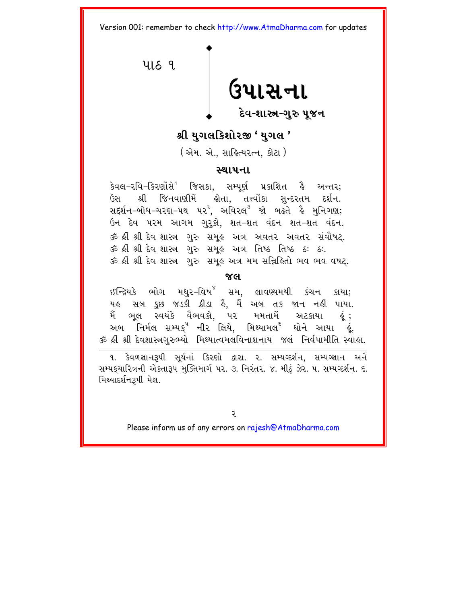<span id="page-5-0"></span>4189 ઉપાસના દેવ-શાસ્ત્ર-ગરુ ૫જન

#### શ્રી યગલકિશોરજી ' યગલ '

(એમ. એ., સાહિત્યરત્ન, કોટા )

#### સ્થાપના

કેવલ-રવિ-કિરણોંસે<sup>૧</sup> જિસકા, સમ્પૂર્ણ પ્રકાશિત <sup>ફુ</sup> અન્તર; શ્રી જિનવાણીમેં હોતા, તત્ત્વોંકા સુન્દરતમ દર્શન. (<u>રસ</u> ઉન દેવ પરમ આગમ ગુરૂકો, શત-શત વંદન શત-શત વંદન. ૐ શ્રી શ્રી દેવ શાસ્ત્ર ગુરુ સમૂહ અત્ર અવતર અવતર સંવૌષટ્. ૐ શ્રી શ્રી દેવ શાસ્ત્ર ગુરુ સમૂહ અત્ર તિષ્ઠ તિષ્ઠ ઠઃ ઠઃ. ૐ શ્રી શ્રી દેવ શાસ્ત્ર ગુરુ સમૂહ અત્ર મમ સન્નિહિતો ભવ ભવ વષટ.

#### $X<sup>d</sup>$

ઈન્દ્રિયકે ભોગ મધુર–વિષ $^{8}$  સમ, લાવણ્યમયી કંચન કાયા; યહ સબ કુછ જડકી ક્રીડા હૈ, મૈં અબ તક જાન નહી પાયા. મૈં ભૂલ સ્વયંકે વૈભવકો, પર મમતામેં અટકાયા . હું : અબ નિર્મલ સમ્યક્<sup>ષ</sup> નીર<sup>ં</sup>લિયે, મિથ્યામલ<sup>ર્</sup> ધોને આયા ક્રે. ૐ શ્રી શ્રી દેવશાસ્ત્રગુરુભ્યો મિથ્યાત્વમલવિનાશનાય જલં નિર્વપામીતિ સ્વાહ્ય.

૧. કેવળજ્ઞાન3પી સર્યનાં કિરણો દ્વારા. ૨. સમ્યગ્દર્શન, સમ્યગ્જ્ઞાન અને સમ્યકચારિત્રની એકતારૂપ મુક્તિમાર્ગ ૫૨. ૩. નિરંતર. ૪. મીઠું ઝેર. ૫. સમ્યગ્દર્શન. ૬. મિથ્યાદર્શન૩પી મેલ.

্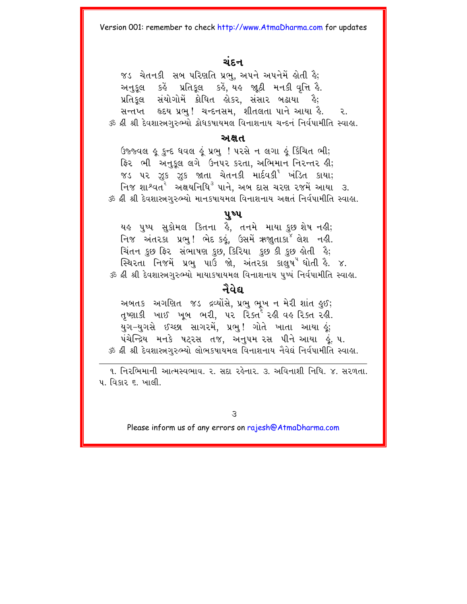#### ચંદન

જડ ચેતનકી સબ પરિણતિ પ્રભુ, અપને અપનેમેં લોતી હૈ; અનુકુલ કહેં પ્રતિકુલ કહેં, યહ જાઠી મનકી વૃત્તિ હૈ. પ્રતિકૂલ સંયોગોમેં ક્રોધિત લોકર, સંસાર બઢાયા હૈ; સન્તપ્ત હૃદય પ્રભુ! ચન્દનસમ, શીતલતા પાને આયા હૈ. ૨. ૐ ક્રી શ્રી દેવશાસ્ત્રગુરુભ્યો ક્રોધકષાયમલ વિનાશનાય ચન્દનં નિર્વપામીતિ સ્વાહા.

#### ਅ ਸ਼ ਪ

ઉજ્જ્વલ ૯ કન્દ ધવલ હું પ્રભ ! ૫૨સે ન લગા હું કિંચિત ભી; ફિર ભી અનકલ લગે ઉનપર કરતા. અભિમાન નિરન્તર હી; જડ ૫૨ ઝૂક ઝૂક જાતા ચેતનકી માર્દવકી<sup>૧</sup> ખંડિત કાયા; ...<br>નિજ શાશ્વત<sup>ર</sup> અક્ષયનિધિ<sup>૩</sup> પાને, અબ દાસ ચરણ રજમેં આયા ૩. ૐ શ્રી શ્રી દેવશાસ્ત્રગરુભ્યો માનકપાયમલ વિનાશનાય અક્ષતં નિર્વપામીતિ સ્વાહા.

#### ૫ષ્પ

યહુ પુષ્પ સુકોમલ ક્તિના હૈ, તનમે માયા કુછુશેષ નહી; નિજ અંતરકા પ્રભુ! ભેદ કઢું, ઉસમેં ઋજાુતાકા<sup>જ</sup> લેશ નહી. ચિંતન કુછ ફિર સંભાષણ કુછ, કિરિયા કુછ કી કુછ લેતી હૈ; સ્થિરતા નિજમેં પ્રભુ પાઉં જો. અંતરકા કાલષ<sup>ય</sup> ધોતી કે. ૪. ૐ શ્રી શ્રી દેવશાસ્ત્રગુરુભ્યો માયાકપાયમલ વિનાશનાય પુષ્પં નિર્વપામીતિ સ્વાહા.

#### નૈવેદ્ય

અબતક અગણિત જડ દ્રવ્યોંસે, પ્રભુ ભૂખ ન મેરી શાંત ઙુઈ; તૃષ્ણાકી ખાઈ ખૂબ ભરી, ૫૨ રિક્ત<sup>ેં</sup> રહી વહ*રિક્*ત રહી. .<br>યુગ–યુગસે ઈચ્છા સાગરમે, પ્રભુ! ગોતે ખાતા આયા હું; પંચેન્દ્રિય મનકે ષટરસ તજ. અનુપમુરસ પીને આયા હું.. ૫. ૐ ક્રી શ્રી દેવશાસ્ત્રગુરુભ્યો લોભકષાયમલ વિનાશનાય નૈવેઘં નિર્વપામીતિ સ્વાહા.

૧. નિરભિમાની આત્મસ્વભાવ, ૨. સદા રહેનાર, ૩. અવિનાશી નિધિ, ૪. સરળતા. ૫. વિકાર ૬. ખાલી.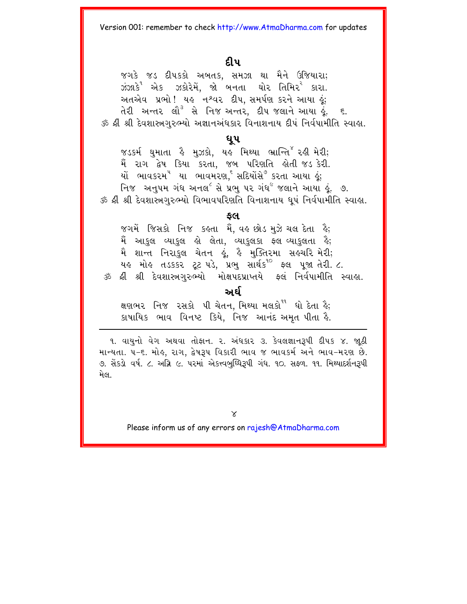#### દીપ

જગકે જડ દીપકકો અબતક. સમઝા થા મૈને ઉજિયારા; ઝંઝાકે<sup>ર</sup> એક ઝકોરેમેં, જો બનતા ઘોર તિમિર<sup>ર</sup> કારા. અતએવ પ્રભો! યહ નશ્વર દીપ, સમર્પણ કરને આયા હું; તેરી અન્તર લૌ<sup>3</sup> સે નિજઞઅન્તર, દીપ<sup>જુ</sup>લાને આયા હૂં. ૬. ૐ શ્રી શ્રી દેવશાસ્ત્રગુરુભ્યો અજ્ઞાનઅંધકાર વિનાશનાય દીપં નિર્વપામીતિ સ્વાહ્ય.

#### ધુપ

જડકર્મ ઘુમાતા કે મુઝકો, યહ મિથ્યા ભ્રાન્તિ<sup>૪</sup>૨હી મેરી; મૈં રાગ દ્વેષ કિયા કરતા, જબ પરિણતિ લોતી જડ.કેરી. યો ભાવકરમ<sup>ષ</sup> યા ભાવમરણ,<sup>૬</sup> સદિયોંસે<sup>૭</sup> કરતા આયા ઢું; નિજ અનુ૫મ ગંધ અનલ<sup>૯</sup> સે પ્રભુ ૫૨ ગંધ<sup>૯</sup> જલાને આયા હું. ૭. ૐ શ્રી શ્રી દેવશાસ્ત્રગુરુભ્યો વિભાવપરિણતિ વિનાશનાય ધૂપં નિર્વપામીતિ સ્વાહા.

#### કલ

જગમેં જિસકો નિજ કહતા મેં. વહ છોડ મુઝે ચલ દેતા હૈ; મૈં આકુલ વ્યાકુલ હો લેતા, વ્યાકુલકા ફલવ્યાકુલતા હૈ; મૈ શાન્ત નિરાકુલ ચેતન ઢું. ઢે મુક્તિરમા સ<mark>્</mark>ઢચરિ મેરી; યહ મોહ તડકકર ટૂટ પડે, પ્રભુ સાર્થક<sup>90</sup> ફ્લ પૂજા તેરી. ૮. ૐ ક્રી શ્રી દેવશાસ્ત્રગુરુભ્યો મોક્ષપદપ્રાપ્તયે ફ્લં નિર્વપામીતિ સ્વાહા.

#### અ ઈ

ક્ષણભર નિજ રસકો પી ચેતન, મિથ્યા મલકો<sup>ષ</sup> ઘો દેતા કે; કાષાયિક ભાવ વિનષ્ટ કિયે, નિજ આનંદ અમૃત પીતા કૈ.

૧. વાયુનો વેગ અથવા તોફાન. ૨. અંધકાર ૩. કેવલજ્ઞાનરૂપી દીપક ૪. જાઠી માન્યતા. ૫-૬. મોહ, રાગ, દ્વેષરૂપ વિકારી ભાવ જ ભાવકર્મ અને ભાવ-મરણ છે. ૭. સેંકડો વર્ષ. ૮. અગ્નિ ૯. પરમાં એકત્ત્વબુધ્ધિરૂપી ગંધ. ૧૦. સફળ. ૧૧. મિથ્યાદર્શનરૂપી મેલ.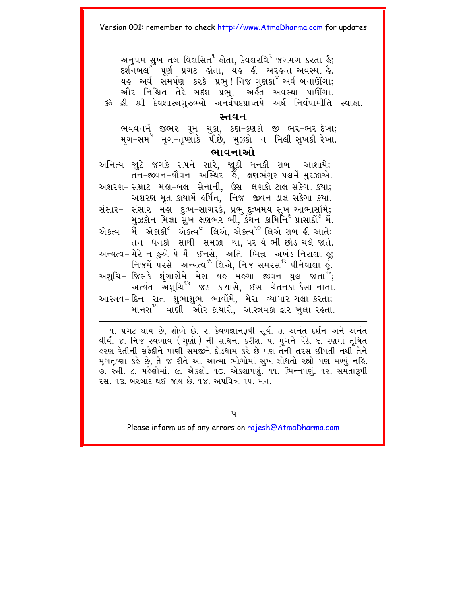અનુ૫મ સુખ તબ વિલસિત<sup>ર</sup> ક્રોતા, કેવલરવિ<sup>ર</sup> જગમગ કરતા ક્રે; દર્શનબલ<sup>3</sup> પૂર્ણ પ્રગટ હોતા, યહ હી અરહન્ત અવસ્થા હૈ. યહ અર્ઘ સમર્પણ કરકે પ્રભુ! નિજ ગુણકા<sup>×</sup> અર્ઘ બનાઊંગા; ઔર નિશ્ચિત તેરે સદશ પ્રભુ, અર્કત અવસ્થા પાઊંગા. ૐ શ્રી શ્રી દેવશાસ્ત્રગરુભ્યો અનર્ઘેપદપ્રાપ્તયે અર્ઘ નિર્વપામીતિ સ્વાહા.

#### સ્તવન

ભવવનમેં જીભર ઘૂમ ચુકા, કણ–કણકો જી ભર–ભર<sup>ુ</sup>દખા;<br>મૃગ–સમ<sup>ે</sup> મૃગ–તૃષ્ણાકે પીછે, મુઝકો ન મિલી સુખકી રેખા.

#### ભાવનાઓ

અનિત્ય- જ્યુઠે જગકે સપને સારે, જાૂઠી મનકી સબ આશાયે;<br>તન-જીવન-યોવન અસ્થિર <sup>ફે</sup>, ક્ષણભંગુર ૫લમેં મુરઝાએ. અશરણ- સમ્રાટ મહા-બલ સેનાની, ઉસ ક્ષણકો ટાલ સકેગા કયા; અશરણ મૃત કાયામેં હર્ષિત, નિજ જીવન ડાલ સકેગા કયા. સંસાર- સંસાર મહા દુઃખ-સાગરકે, પ્રભુ દુઃખમય સુખ આભાસોંમે; મુઝકોન મિલા સુખ ક્ષણભર ભી, કંચન કામિર્નિ<sup>૬</sup> પ્રાસાદો<sup>૭</sup> મે. તન ધનકો સાથી સમઝા થા, પર યે ભી છોડ ચલે જાતે. અન્યત્વ-મેરે ન કુએ યે મૈં ઈનસે, અતિ ભિન્ન અખંડ નિરાલા કું; નિજમેં પરસે અન્યત્વ<sup>૧૧</sup> લિએ. નિજ સમરસ<sup>૧૨</sup> પીનેવાલા *કું.* અશુચિ− જિસકે શુંગારોમે મેરા યઙ મઙંગા જીવન ઘુલ જાતા<sup>પ</sup>ેં; આસ્ત્રવ-દિન રાત શુભાશુભ ભાવોમે, મેરા વ્યાપાર ચલા કરતા; માનસ<sup>ય</sup> વાણી ઓેર કાયાસે, આસ્ત્રવકા દ્વાર ખુલા રહતા.

9. પ્રગટ થાય છે, શોભે છે. ૨. કેવળજ્ઞાનરૂપી સૂર્ય. ૩. અનંત દર્શન અને અનંત વીર્ય. ૪. નિજ સ્વભાવ (ગુણો) ની સાધના કરીશ. ૫. મૃગને પેઠે. ૬. રણમાં તૃષિત ઢરણ રેતીની સકેદીને પાણી સમજીને દોડધામ કરે છે પણ તેની તરસ છીપતી નથી તેને મગતૃષ્ણા કહે છે, તે જ રીતે આ આત્મા ભોગોમાં સુખ શોધતો રહ્યો પણ મળ્યું નહિ. ૭. સ્ત્રી. ૮. મર્લેલોમાં. ૯. એકલો. ૧૦. એકલાપણ. ૧૧. ભિન્નપણ. ૧૨. સમતારૂપી ૨.મ. ૧૩. બરબાદ થઈ જાય છે. ૧૪. અપવિત્ર ૧૫. મૈન.

પ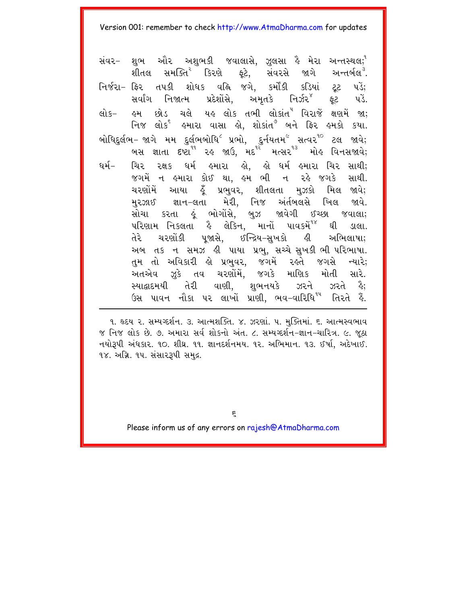શભ ઓર અશુભકી જવાલાસે, ઝુલસા હૈ મેરા અન્તસ્થલ; $^{\mathsf{a}}$ સંવર– ર્શીતલ સમક્તિ<sup>ર</sup> કિરણે ફૂટે, સંવરસે જાગે અન્તર્બલ<sup>3</sup>. નિર્જરા- ફ્રિર તપકી શોધક વહ્નિ જગે. કર્મોંકી કડિયાં ટ્ટ  $y\ddot{\delta}$ : સર્વાંગ નિજાત્મ પ્રદેશોસે, અમૃતકે નિર્ઝર<sup>૪</sup> ફૂટ પડે. લો ક— હમ છોડ ચલે યહ લોક તભી લોકાંત<sup>ષ</sup> વિરાજે ક્ષણમેં જા: નિજ લોક<sup>૬</sup> હમારા વાસા હો, શોકાંત<sup>૭</sup> બને ફિર હમકો કયા. બોધિદુર્લભ– જાગે મમ દુર્લભબોધિ<sup>૮</sup> પ્રભો, દુર્નયતમ<sup>૯</sup> સત્વ૨<sup>૧૦</sup> ટલ જાવે; ા <sub>બન્દ</sub>ાના હુન્યુન હતુ છે છે.<br>બસ જ્ઞાતા દષ્ટા<sup>ય</sup> ૨૬ જાઉ, મદ<sup>્દર</sup> મત્સ૨<sup>૧૩</sup> મોઙ વિનસજાવે; ચિર રક્ષક ધર્મ હમારા હો, હો ધર્મ હમારા ચિર સાથી; ધર્મ− જગમેં ન હમારા કોઈ થા, હમ ભી ન રહે જગકે સાથી. ચરણોંમેં આયા હૂઁ પ્રભુવર, શીતલતા મુઝકો મિલ જાવે; મુરઝાઈ જ્ઞાન-લતા મેરી, નિજ અંર્તબલસે ખિલ જાવે. સોચા કરતા હૂં ભોગોંસે, બુઝ જાવેગી ઈચ્છા જવાલા; પરિણામ નિકલતા કે લેકિન, માનોં પાવકમેં<sup>૧૪</sup> ઘી  $SCH<sub>1</sub>$ ચરશોંકી પૂજાસે, ઈન્દ્રિય-સુખકો હી અભિલાષા; તેરે અબ તક ન સમઝ હી પાયા પ્રભુ, સચ્ચે સુખકી ભી પરિભાષા. તુમ તો અવિકારી હો પ્રભુવર, જગમેં રહતે જગસે ન્યારે; અતએવ ઝુકે તવ ચરણોંમેં, જગકે માણિક મોતી સારે. સ્યાદ્વાદમયી તેરી વાણી, શુભનયકે ઝરને ઝરતે કૈ; ઉસ પાવન નૌકા પર લાખોં પ્રાણી, ભવ-વારિધિ<sup>યપ</sup> તિરતે કૈં.

૧. હૃદય ૨. સમ્યગ્દર્શન. ૩. આત્મશક્તિ. ૪. ઝરણાં. ૫. મુક્તિમાં. ૬. આત્મસ્વભાવ જ નિજ લોક છે. ૭. અમારા સર્વ શોકનો અંત. ૮. સમ્યગ્દર્શન-જ્ઞાન-ચારિત્ર. ૯. જઠા નયોરૂપી અંધકાર. ૧૦. શીઘ્ર. ૧૧. જ્ઞાનદર્શનમય. ૧૨. અભિમાન. ૧૩. ઈર્ષા, અદેખાઈ. ૧૪. અગ્નિ. ૧૫. સંસારરૂપી સમુદ્ર.

 $\epsilon$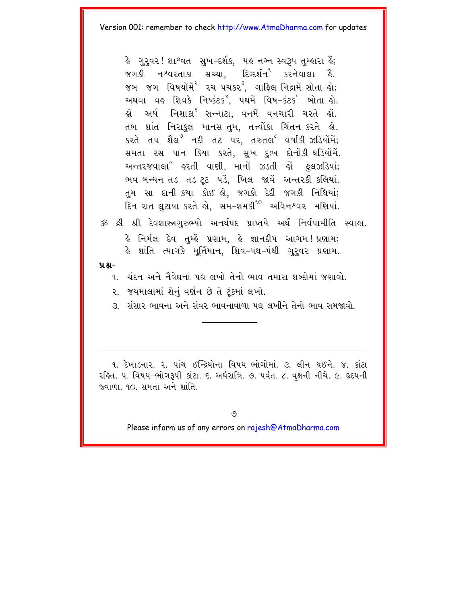કે ગરવર!શાશ્વત સખ-દર્શક. યક નગ્ન સ્વરૂપ તમ્કારા કૈં; જગકી નશ્વરતાકા સચ્ચા. દિગ્દર્શન<sup>ય</sup> કરનેવાલા કૈ. જબ જગ વિષયોમે<sup>ર</sup> રચ પચકર<sup>3</sup>. ગાફ્લિ નિદ્રામેં સોતા લો: અથવા વહ શિવકે નિષ્કંટક<sup>ઁ</sup>, પથમેં વિષ−કંટક<sup>ષ</sup> બોતા હો. હો અર્ધ નિશાકા<sup>દ</sup> સન્નાટા, વનમેં વનચારી ચરતે હોં. તબ શાંત નિરાકુલ માનસંતુમ, તત્ત્વોંકા ચિંતન કરતે હો. કરતે તપ શૈલ<sup>º</sup> નદી તટ પર, તરુતલ<sup>૯</sup> વર્ષાકી ઝડિયોમેં; સમતા રસ પાન કિયા કરતે, સખ દુઃખ દોનોંકી ઘડિયોંમેં. અન્તરજવાલા<sup>૯</sup> હરતી વાણી, માનોં ઝડતી હોં ફુલઝડિયાં; ભવ બન્ધન તડ તડ ટૂટ પડે, ખિલ જાવે અન્તરકી કલિયાં. તમ સા દાની કયા કોઈ હો. જગકો દેદી જગકી નિધિયાં; દિન રાત લુટાયા કરતે લો, સમ-શમકી<sup>10</sup> અવિનશ્વર મણિયાં. ૐ શ્રી શ્રી દેવશાસ્ત્રગુરુભ્યો અનર્ઘપદ પ્રાપ્તયે અર્ઘ નિર્વપામીતિ સ્વાહા.

હે નિર્મલ દેવ તુમ્હેં પ્રણામ, હે જ્ઞાનદીપ આગમ**!**પ્રણામ; કે શાંતિ ત્યાગકે મૂર્તિમાન, શિવ-પથ-પંથી ગુરૂવર પ્રશામ.

 $9.8 -$ 

૧. ચંદન અને નૈવેદ્યનાં ૫ઘ લખો તેનો ભાવ તમારા શબ્દોમાં જણાવો. ૨. જયમાલામાં શેનું વર્ણન છે તે ટૂંકમાં લખો.

૩. સંસાર ભાવના અને સંવર ભાવનાવાળા પદ્ય લખીને તેનો ભાવ સમજાવો.

૧. દેખાડનાર. ૨. પાંચ ઈન્દ્રિયોના વિષય-ભોગોમાં. ૩. લીન થઈને. ૪. કાંટા રફિત. ૫. વિષય-ભોગરૂપી કાંટા. ૬. અર્ધરાત્રિ. ૭. પર્વત. ૮. વક્ષની નીચે. ૯. હૃદયની જ્યાળા. ૧૦. સમતા અને શાંતિ.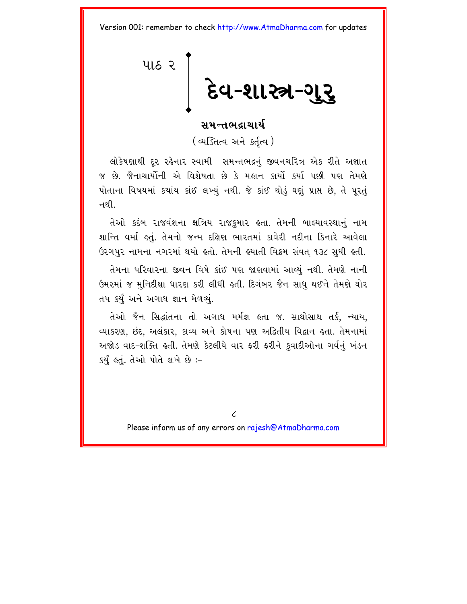<span id="page-11-0"></span>પાઠ ર દેવ-શાસ્ત્ર-ગુરુ

#### સમન્તભદાચાર્ય

(व्यक्तित्व અને કર્તત્વ)

લોકેષણાથી દર રહેનાર સ્વામી સમન્તભદ્રનું જીવનચરિત્ર એક રીતે અજ્ઞાત જ છે. જૈનાચાર્યોની એ વિશેષતા છે કે મહાન કાર્યો કર્યા પછી પણ તેમણે પોતાના વિષયમાં કયાંય કાંઈ લખ્યું નથી. જે કાંઈ થોડું ઘણું પ્રાપ્ત છે, તે પૂરતું ન થી

તેઓ કદંબ રાજવંશના ક્ષત્રિય રાજકુમાર હતા. તેમની બાલ્યાવસ્થાનું નામ શાન્તિ વર્મા હતું. તેમનો જન્મ દક્ષિણ ભારતમાં કાવેરી નદીના કિનારે આવેલા ઉરગપુર નામના નગરમાં થયો હતો. તેમની હયાતી વિક્રમ સંવત ૧૩૮ સુધી હતી.

તેમના પરિવારના જીવન વિષે કાંઈ પણ જાણવામાં આવ્યું નથી. તેમણે નાની ઉમરમાં જ મુનિદીક્ષા ધારણ કરી લીધી હતી. દિગંબર જૈન સાધુ થઈને તેમણે ઘોર તપ કર્યું અને અગાધ જ્ઞાન મેળવ્યું.

તેઓ જૈન સિદ્ધાંતના તો અગાધ મર્મજ્ઞ હતા જ. સાથોસાથ તર્ક, ન્યાય, વ્યાકરણ, છંદ, અલંકાર, કાવ્ય અને કોષના પણ અદ્વિતીય વિદ્વાન હતા. તેમનામાં અજોડ વાદ-શક્તિ હતી. તેમણે કેટલીયે વાર ફરી ફરીને કુવાદીઓના ગર્વનું ખંડન કર્યું હતું. તેઓ પોતે લખે છે :-

 $\overline{\mathcal{L}}$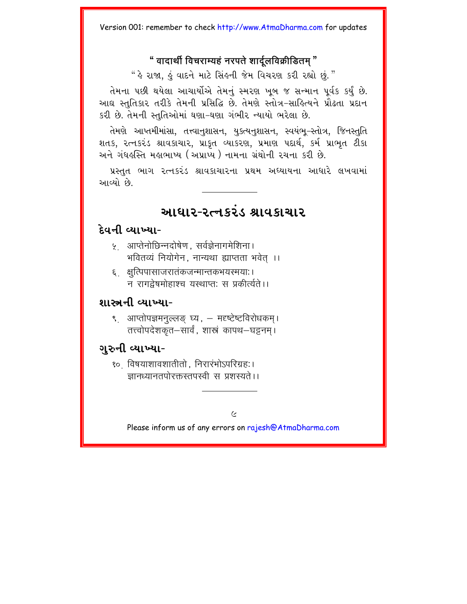#### " वादार्थी विचराम्यहं नरपते शार्दलविक्रीडितम "

" કે રાજા, કું વાદને માટે સિંકની જેમ વિચરણ કરી રહ્યો છું."

તેમના પછી થયેલા આચાર્યોએ તેમનું સ્મરણ ખૂબ જ સન્માન પૂર્વક કર્યું છે. આઘ સ્તુતિકાર તરીકે તેમની પ્રસિદ્ધિ છે. તેમણે સ્તોત્ર-સાહિત્યને પ્રૌઢતા પ્રદાન કરી છે. તેમની સ્તુતિઓમાં ઘણા-ઘણા ગંભીર ન્યાયો ભરેલા છે.

તેમણે આપ્તમીમાંસા, તત્ત્વાનુશાસન, યુક્ત્યનુશાસન, સ્વયંભુ–સ્તોત્ર, જિનસ્તુતિ શતક, રત્નકરંડ શ્રાવકાચાર, પ્રાકૃત વ્યાકરણ, પ્રમાણ પદાર્થ, કર્મ પ્રાભુત ટીકા અને ગંધહસ્તિ મહાભાષ્ય (અપ્રાપ્ય ) નામના ગ્રંથોની રચના કરી છે.

પ્રસ્તુત ભાગ રત્નકરંડ શ્રાવકાચારના પ્રથમ અધ્યાયના આધારે લખવામાં આવ્યો છે

## આધાર-રત્નકરંડ શ્રાવકાચાર

#### દેવની વ્યાખ્યા-

- ५ आप्तेनोछिन्नदोषेण सर्वज्ञेनागमेशिना। भवितव्यं नियोगेन. नान्यथा ह्याप्तता भवेत् ।।
- ६ क्षुत्पिपासाजरातंकजन्मान्तकभयरमयाः। न रागदेषमोहाश्च यस्थाप्त: स प्रकीर्त्यते ।।

#### શાસ્ત્રની વ્યાખ્યા-

९ आप्तोपज्ञमनल्लङ घ्य. – मदृष्टेष्टविरोधकम। तत्त्वोपदेशकृत–सार्वं, शास्त्रं कापथ–घड़नम।

### ગુરુની વ્યાખ્યા-

<u> १० विषयाशावशातीतो. निरारंभोऽपरिग्रह:।</u> ज्ञानध्यानतपोरक्तस्तपस्वी स प्रशस्यते ।।

 $\epsilon$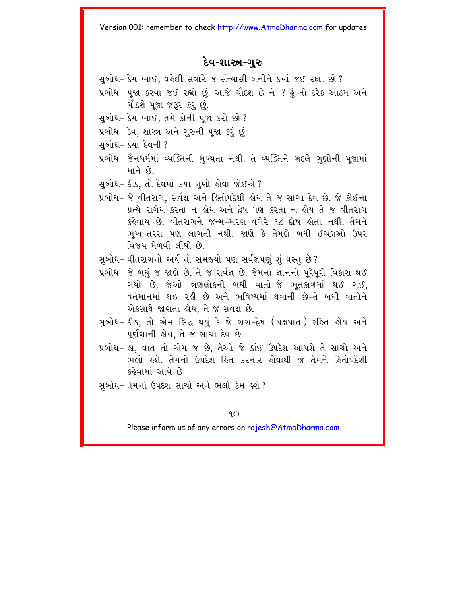#### દેવ-શાસ્ત્ર-ગુરુ

સબોધ- કેમ ભાઈ. વહેલી સવારે જ સંન્યાસી બનીને કયાં જઈ રહ્યા છો?

- પ્રબોધ- પુજા કરવા જઈ રહ્યો છું. આજે ચૌદશ છે ને ? હું તો દરેક આઠમ અને ચૌદશે ૫જા જરૂર કરું છું.
- સુબોધ- કેમ ભાઈ, તમે કોની પૂજા કરો છો?
- પ્રબોધ- દેવ, શાસ્ત્ર અને ગુરુની પૂજા કરૂં છું.
- સબોધ- કયા દેવની ?
- પ્રબોધ- જૈનધર્મમાં વ્યક્તિની મુખ્યતા નથી. તે વ્યક્તિને બદલે ગુણોની પૂજામાં भाने છे
- સુબોધ- ઠીક, તો દેવમાં કયા ગુણો હોવા જોઈએ ?
- પ્રબોધ- જે વીતરાગ. સર્વજ્ઞ અને હિતોપદેશી હોય તે જ સાચા દેવ છે. જે કોઈના પ્રત્યે રાગેય કરતા ન હોય અને દ્વેષ પણ કરતા ન હોય તે જ વીતરાગ કહેવાય છે. વીતરાગને જન્મ-મરણ વગેરે ૧૮ દોષ હોતા નથી. તેમને ભૂખ-તરસ પણ લાગતી નથી. જાણે કે તેમણે બધી ઈચ્છાઓ ઉપર વિજય મેળવી લીધો છે.
- સુબોધ- વીતરાગનો અર્થતો સમજ્યો પણ સર્વજ્ઞપણું શું વસ્તુ છે?
- પ્રબોધ- જે બધું જ જાણે છે, તે જ સર્વજ્ઞ છે. જેમના જ્ઞાનનો પુરેપુરો વિકાસ થઈ ગયો છે. જેઓ ત્રણલોકની બધી વાતો-જે ભતકાળમાં થઈ ગઈ. વર્તમાનમાં થઈ રહી છે અને ભવિષ્યમાં થવાની છે-તે બધી વાતોને એકસાથે જાણતા હોય, તે જ સર્વજ્ઞ છે.
- સુબોધ- ઠીક, તો એમ સિદ્ધ થયું કે જે રાગ-દ્વેષ (પક્ષપાત) રહિત હોય અને પર્ણજ્ઞાની હોય, તે જ સાચા દેવ છે.
- પ્રબોધ- હા, વાત તો એમ જ છે, તેઓ જે કાંઈ ઉપદેશ આપશે તે સાચો અને ભલો હશે. તેમનો ઉપદેશ હિત કરનાર હોવાથી જ તેમને હિતોપદેશી કહેવામાં આવે છે.
- સુબોધ- તેમનો ઉપદેશ સાચો અને ભલો કેમ હશે ?

#### $9O$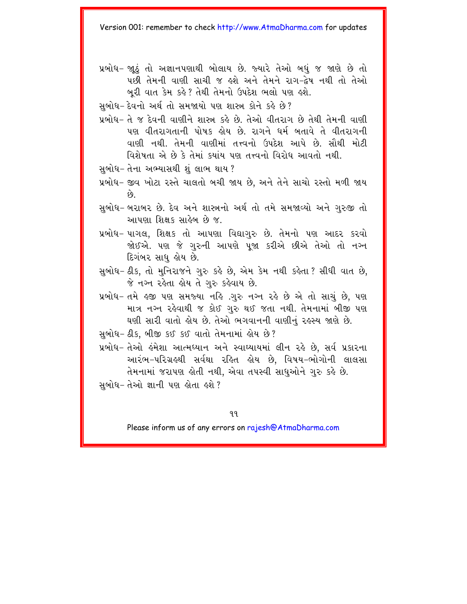- પ્રબોધ- જાઠં તો અજ્ઞાનપણાથી બોલાય છે. જ્યારે તેઓ બધં જ જાણે છે તો પછી તેમની વાણી સાચી જ હશે અને તેમને રાગ-દ્વેષ નથી તો તેઓ બરી વાત કેમ કહે? તેથી તેમનો ઉપદેશ ભલો પણ હશે.
- સુબોધ- દેવનો અર્થતો સમજાયો પણ શાસ્ત્ર કોને કહે છે?
- પ્રબોધ- તે જ દેવની વાણીને શાસ્ત્ર કહે છે. તેઓ વીતરાગ છે તેથી તેમની વાણી પણ વીતરાગતાની પોષક ક્ષેય છે. રાગને ધર્મ બતાવે તે વીતરાગની વાણી નથી. તેમની વાણીમાં તત્ત્વનો ઉપદેશ આપે છે. સૌથી મોટી વિશેષતા એ છે કે તેમાં કયાંય પણ તત્ત્વનો વિરોધ આવતો નથી.
- સબોધ- તેના અભ્યાસથી શંલાભ થાય?
- પ્રબોધ- જીવ ખોટા રસ્તે ચાલતો બચી જાય છે. અને તેને સાચો રસ્તો મળી જાય  $\Theta$ .
- સુબોધ- બરાબર છે. દેવ અને શાસ્ત્રનો અર્થ તો તમે સમજાવ્યો અને ગુરુજી તો આપણા શિક્ષક સાહેબ છે જ.
- પ્રબોધ- પાગલ, શિક્ષક તો આપણા વિદ્યાગુરુ છે. તેમનો પણ આદર કરવો જોઈએ. પણ જે ગુરુની આપણે પુજા કરીએ છીએ તેઓ તો નગ્ન દિગંબર સાધુ હોય છે.
- સુબોધ- ઠીક, તો મુનિરાજને ગુરુ કહે છે, એમ કેમ નથી કહેતા ? સીધી વાત છે, જે નગ્ન રહેતા હોય તે ગુરુ કહેવાય છે.
- પ્રબોધ- તમે હજી પણ સમજ્યા નહિ .ગુરુ નગ્ન રહે છે એ તો સાચું છે. પણ માત્ર નગ્ન રહેવાથી જ કોઈ ગુરુ થઈ જતા નથી. તેમનામાં બીજી પણ ઘણી સારી વાતો હોય છે. તેઓ ભગવાનની વાણીનું રહસ્ય જાણે છે.
- સુબોધ- ઠીક, બીજી કઈ કઈ વાતો તેમનામાં હોય છે?
- પ્રબોધ– તેઓ હંમેશા આત્મધ્યાન અને સ્વાઘ્યાયમાં લીન રહે છે, સર્વ પ્રકારના આરંભ–પરિગ્રહથી સર્વથા રહિત હોય છે, વિષય–ભોગોની લાલસા તેમનામાં જરાપણ હોતી નથી, એવા તપસ્વી સાધુઓને ગુરુ કહે છે.
- સબોધ-તેઓ જ્ઞાની પણ લોતા *હશે* ?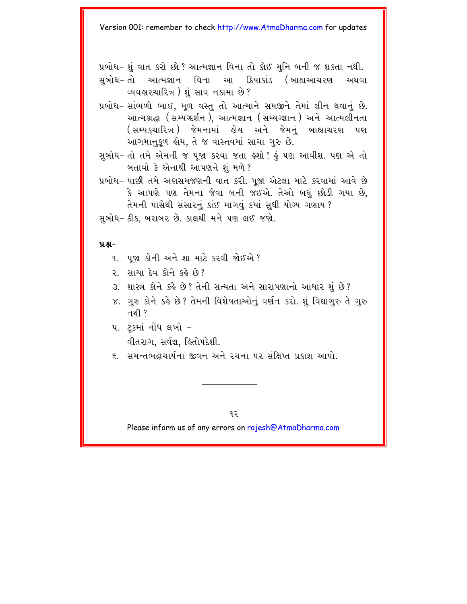પ્રબોધ- શું વાત કરો છો? આત્મજ્ઞાન વિના તો કોઈ મુનિ બની જ શકતા નથી. સબોધ- તો આત્મજ્ઞાન વિના આ ક્રિયાકાંડ (બાહ્યઆચરણ અથવા

વ્યવહારચારિત્ર) શંસાવ નકામા છે?

- પ્રબોધ-સાંભળો ભાઈ. મૂળ વસ્તુ તો આત્માને સમજીને તેમાં લીન થવાનું છે. આત્મશ્રદ્ધા (સમ્યગ્દર્શન), આત્મજ્ઞાન (સમ્યગ્જ્ઞાન) અને આત્મલીનતા (સમ્યકચારિત્ર ) જેમનામાં હોય અને જેમનું બાહ્યાચરણ પણ આગમાનુકૂળ હોય, તે જ વાસ્તવમાં સાચા ગુરુ છે.
- સુબોધ- તો તમે એમની જ પુજા કરવા જતા હશો ! હું પણ આવીશ. પણ એ તો બતાવો કે એનાથી આપણને શું મળે?
- પ્રબોધ- પાછી તમે અણસમજણની વાત કરી. પજા એટલા માટે કરવામાં આવે છે કે આપણે પણ તેમના જેવા બની જઈએ. તેઓ બધં છોડી ગયા છે. તેમની પાસેથી સંસારનું કાંઈ માગવું કયાં સુધી યોગ્ય ગણાય ?

સુબોધ- ઠીક, બરાબર છે. કાલથી મને પણ લઈ જજો.

#### $9.8 -$

- ૧. પુજા કોની અને શા માટે કરવી જોઈએ?
- ૨. સાચા દેવ કોને કર્લે છે?
- ૩. શાસ્ત્ર કોને કહે છે? તેની સત્યતા અને સારાપણાનો આધાર શું છે?
- ૪. ગુરુ કોને કહે છે? તેમની વિશેષતાઓનું વર્ણન કરો. શું વિદ્યાગુરુ તે ગુરુ નથી  $\overline{?}$
- ૫. ટંકમાં નોંધ લખો -વીતરાગ. સર્વજ્ઞ. હિતોપદેશી.
- ૬ સમન્તભદાચાર્યના જીવન અને રચના પર સંક્ષિપ્ત પ્રકાશ આપો

 $92$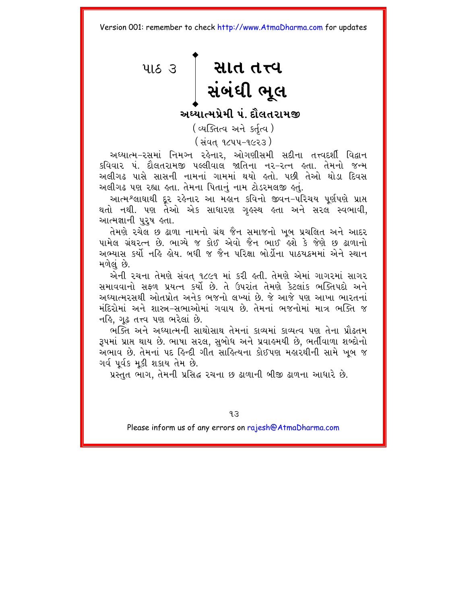<span id="page-16-0"></span>પાઠ 3 શિત તત્ત્વ<br>2. શિન શિત માત

અઘ્યાત્મપ્રેમી પં. દૌલતરામજી

(व्यक्तित्व अने sर्तृत्व)

( સંવત ૧૮૫૫-૧૯૨૩ )

અધ્યાત્મ-રસમાં નિમગ્ન રહેનાર, ઓગણીસમી સદીના તત્ત્વદર્શી વિદ્વાન કવિવાર પં. દૌલતરામજી પલ્લીવાલ જાતિના નર-રત્ન હતા. તેમનો જન્મ અલીગઢ પાસે સાસની નામનાં ગામમાં થયો હતો. પછી તેઓ થોડા દિવસ અલીગઢ પણ રહ્યા હતા. તેમના પિતાનું નામ ટોડરમલજી હતું.

આત્મશ્લાઘાથી દૂર રહેનાર આ મહાન કવિનો જીવન-પરિચય પૂર્ણપણે પ્રાપ્ત થતો નથી. પણ તેઓ એક સાધારણ ગુલ્સ્થ હતા અને સરલ સ્વભાવી, આત્મજ્ઞાની પરષ હતા.

તેમણે રચેલ છ ઢાળા નામનો ગ્રંથ જૈન સમાજનો ખુબ પ્રચલિત અને આદર પામેલ ગ્રંથરત્ન છે. ભાગ્યે જ કોઈ એવો જૈન ભાઈ હશે કે જેણે છુ ઢાળાનો અભ્યાસ કર્યો નહિ હોય બધી જ જૈન પરિક્ષા બોર્ડોના પાઠ્યક્રમમાં એને સ્થાન મળેલં છે.

એની રચના તેમણે સંવત ૧૮૯૧ માં કરી હતી. તેમણે એમાં ગાગરમાં સાગર સમાવવાનો સફળ પ્રયત્ન કર્યો છે. તે ઉપરાંત તેમણે કેટલાંક ભક્તિપદો અને અધ્યાત્મરસથી ઓતપ્રોત અનેક ભજનો લખ્યાં છે. જે આજે પણ આખા ભારતનાં મંદિરોમાં અને શાસ્ત્ર-સભાઓમાં ગવાય છે. તેમનાં ભજનોમાં માત્ર ભક્તિ જ નહિ, ગઢ તત્ત્વ પણ ભરેલાં છે.

ભક્તિ અને અધ્યાત્મની સાથોસાથ તેમનાં કાવ્યમાં કાવ્યત્વ પણ તેના પ્રૌઢતમ રૂપમાં પ્રાપ્ત થાય છે. ભાષા સરલ, સુબોધ અને પ્રવાહમયી છે. ભર્તીવાળા શબ્દોનો અભાવ છે. તેમનાં પદ હિન્દી ગીત સાહિત્યના કોઈપણ મહારથીની સામે ખુબ જ ગર્વ પર્વક મકી શકાય તેમ છે.

પ્રસ્તુત ભાગ, તેમની પ્રસિદ્ધ રચના છ ઢાળાની બીજી ઢાળના આધારે છે.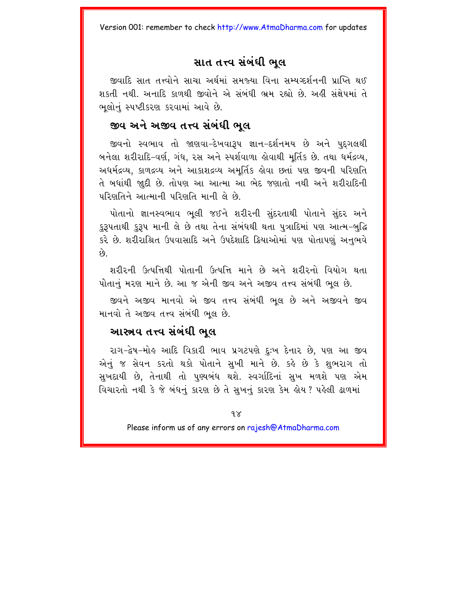#### સાત તત્ત્વ સંબંધી ભુલ

જીવાદિ સાત તત્ત્વોને સાચા અર્થમાં સમજ્યા વિના સમ્યગ્દર્શનની પ્રાપ્તિ થઈ શકતી નથી. અનાદિ કાળથી જીવોને એ સંબંધી ભ્રમ રહ્યો છે. અહીં સંક્ષેપમાં તે ભલોનું સ્પષ્ટીકરણ કરવામાં આવે છે.

#### જીવ અને અજીવ તત્ત્વ સંબંધી ભલ

જીવનો સ્વભાવ તો જાણવા–દેખવારૂપ જ્ઞાન–દર્શનમય છે અને પદગલથી બનેલા શરીરાદિ-વર્ણ, ગંધ, રસ અને સ્પર્શવાળા હોવાથી મર્તિક છે. તથા ધર્મદ્રવ્ય, અધર્મદ્રવ્ય. કાળદ્રવ્ય અને આકાશદ્રવ્ય અમર્તિક લેવા છતાં પણ જીવની પરિણતિ તે બધાંથી જાુદી છે. તોપણ આ આત્મા આ ભેદ જણાતો નથી અને શરીરાદિની परिशतिने આત્માની પરિશતિ માની લે છે.

પોતાનો જ્ઞાનસ્વભાવ ભૂલી જઈને શરીરની સુંદરતાથી પોતાને સુંદર અને કરૂપતાથી કરૂપ માની લે છે તથા તેના સંબંધથી થતા પત્રાદિમાં પણ આત્મ-બદ્ધિ કરે છે. શરીરાશ્રિત ઉપવાસાદિ અને ઉપદેશાદિ ક્રિયાઓમાં પણ પોતાપણું અનુભવે  $\hat{\rho}_3$ 

શરીરની ઉત્પત્તિથી પોતાની ઉત્પત્તિ માને છે અને શરીરનો વિયોગ થતા પોતાનં મરણ માને છે. આ જ એની જીવ અને અજીવ તત્ત્વ સંબંધી ભલ છે.

જીવને અજીવ માનવો એ જીવ તત્ત્વ સંબંધી ભૂલ છે અને અજીવને જીવ માનવો તે અજીવ તત્ત્વ સંબંધી ભૂલ છે.

#### આસ્ત્રવ તત્ત્વ સંબંધી ભલ

રાગ-દ્વેષ-મોલ્ આદિ વિકારી ભાવ પ્રગટપણે દઃખ દેનાર છે. પણ આ જીવ એનું જ સેવન કરતો થકો પોતાને સુખી માને છે. કહે છે કે શુભરાગ તો સુખદાયી છે, તેનાથી તો પુણ્યબંધ થશે. સ્વર્ગાદિનાં સુખ મળશે પણ એમ વિચારતો નથી કે જે બંધનું કારણ છે તે સુખનું કારણ કેમ હોય ? પહેલી ઢાળમાં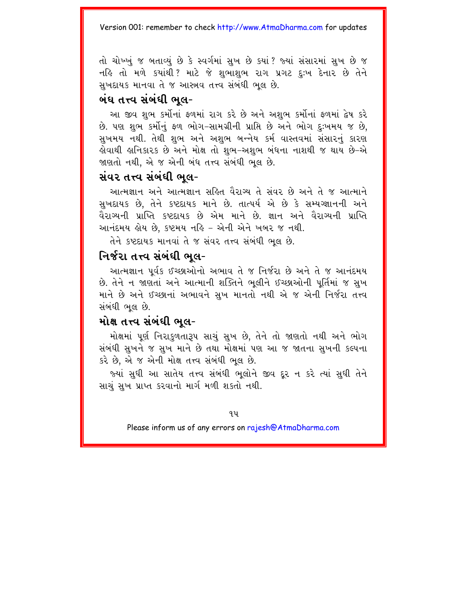તો ચોખ્ખં જ બતાવ્યું છે કે સ્વર્ગમાં સખ છે કયાં ? જ્યાં સંસારમાં સખ છે જ નહિ તો મળે કયાંથી ? માટે જે શુભાશુભ રાગ પ્રગટ દુઃખ દેનાર છે તેને સખદાયક માનવા તે જ આસ્ત્રવ તત્ત્વ સંબંધી ભલ છે.

#### બંધ તત્ત્વ સંબંધી ભલ-

આ જીવ શુભ કર્મોનાં ફળમાં રાગ કરે છે અને અશુભ કર્મોનાં ફળમાં દ્વેષ કરે છે. પણ શુભ કર્મોનું ફળ ભોગ-સામગ્રીની પ્રાપ્તિ છે અને ભોગ દઃખમય જ છે. સુખમય નથી. તેથી શુભ અને અશુભ બન્નેય કર્મ વાસ્તવમાં સંસારનું કારણ હોવાથી હ્રાનિકારક છે અને મોક્ષ તો શુભ−અશુભ બંધના નાશથી જ થાય છે−એ જાણતો નથી. એ જ એની બંધ તત્ત્વ સંબંધી ભૂલ છે.

#### સંવર તત્ત્વ સંબંધી ભલ-

આત્મજ્ઞાન અને આત્મજ્ઞાન સહિત વૈરાગ્ય તે સંવર છે અને તે જ આત્માને સખદાયક છે. તેને કષ્ટદાયક માને છે. તાત્પર્ય એ છે કે સમ્યગ્જ્ઞાનની અને વૈરાગ્યની પ્રાપ્તિ કષ્ટદાયક છે એમ માને છે. જ્ઞાન અને વૈરાગ્યની પ્રાપ્તિ આનંદમય હોય છે. કષ્ટમય નહિ – એની એને ખબર જ નથી.

તેને કષ્ટદાયક માનવાં તે જ સંવર તત્ત્વ સંબંધી ભૂલ છે.

#### નિર્જરા તત્ત્વ સંબંધી ભલ-

આત્મજ્ઞાન ૫ર્વક ઈચ્છાઓનો અભાવ તે જ નિર્જરા છે અને તે જ આનંદમય છે. તેને ન જાણતાં અને આત્માની શક્તિને ભુલીને ઈચ્છાઓની પૂર્તિમાં જ સુખ માને છે અને ઈચ્છાનાં અભાવને સુખ માનતો નથી એ જ એની નિર્જરા તત્ત્વ સંબંધી ભલ છે.

#### મોક્ષ તત્ત્વ સંબંધી ભલ-

મોક્ષમાં પૂર્ણ નિરાકળતારૂપ સાચું સુખ છે. તેને તો જાણતો નથી અને ભોગ સંબંધી સુખને જ સુખ માને છે તથા મોક્ષમાં પણ આ જ જાતના સુખની કલ્પના કરે છે, એ જ એની મોક્ષ તત્ત્વ સંબંધી ભૂલ છે.

જ્યાં સુધી આ સાતેય તત્ત્વ સંબંધી ભૂલોને જીવ દૂર ન કરે ત્યાં સુધી તેને સાચું સુખ પ્રાપ્ત કરવાનો માર્ગ મળી શકતો નથી.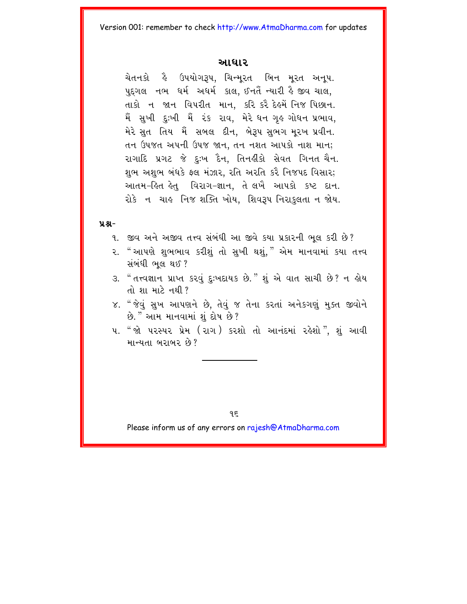#### આધાર

ચેતનકો હૈ ઉપયોગરૂપ, ચિન્મુરત બિન મુરત અનુપ. પુદગલ નભ ધર્મ અધર્મ કાલ, ઈનતૈં ન્યારી હૈ જીવ ચાલ, તાકો ન જાન વિપરીત માન, કરિ કરૈ દેહમેં નિજ પિછાન. મૈં સુખી દુ:ખી મૈં રંક રાવ, મેરે ધન ગુઢ ગોધન પ્રભાવ, મેરે સુત તિય મેં સબલ દીન, બેરૂપ સુભગ મુરખ પ્રવીન. તન ઉપજત અપની ઉપજ જાન, તન નશત આપકો નાશ માન; રાગાદિ પ્રગટ જે દુઃખ દૈન, તિનહીકો સેવત ગિનત ચૈન. શભ અશભ બંધકે ફ્લ મંઝાર, રતિ અરતિ કરે નિજપદ વિસાર; આતમ-હિત હેતુ વિરાગ-જ્ઞાન, તે લખૈ આપકો કષ્ટ દાન. રોકે ન ચાહુ નિજ શક્તિ ખોય. શિવરૂપ નિરાકલતા ન જોય.

#### $9.8 -$

- ૧. જીવ અને અજીવ તત્ત્વ સંબંધી આ જીવે કયા પ્રકારની ભલ કરી છે?
- ૨. "આપણે શભભાવ કરીશું તો સુખી થશું," એમ માનવામાં કયા તત્ત્વ સંબંધી ભલ થઈ?
- ૩. " તત્ત્વજ્ઞાન પ્રાપ્ત કરવું દુઃખદાયક છે." શું એ વાત સાચી છે? ન હોય તો શા માટે નથી  $2$
- ૪. " જેવું સુખ આપણને છે, તેવું જ તેના કરતાં અનેકગણું મુક્ત જીવોને છે. "આમ માનવામાં શંદોષ છે?
- ૫. " જો પરસ્પર પ્રેમ (રાગ) કરશો તો આનંદમાં રહેશો", શું આવી માન્યતા બરાબર છે?

Please inform us of any errors on rajesh@AtmaDharma.com

 $95$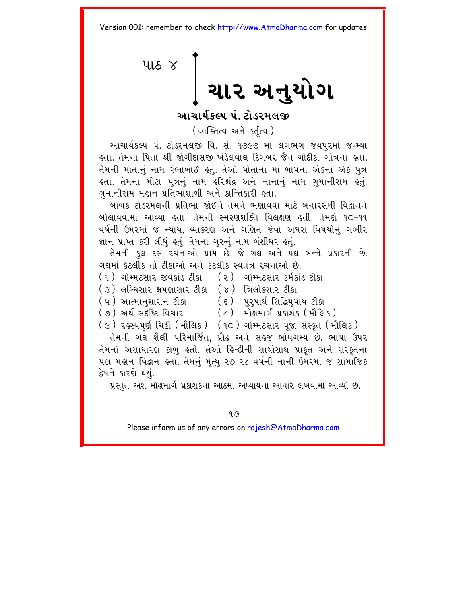<span id="page-20-0"></span> $415<sup>8</sup>$ ચાર અનુયોગ

<u>આચાર્યકલ્પ પંટોડરમલજી</u>

(व्यक्तित्व अने sर्तत्व)

આચાર્યકલ્પ પં. ટોડરમલજી વિ. સં. ૧૭૯૭ માં લગભગ જયપુરમાં જન્મ્યા હતા. તેમના પિતા શ્રી જોગીદાસજી ખંડેલવાલ દિગંબર જૈન ગોદીકા ગોત્રના હતા. .<br>તેમની માતાનં નામ રંભાબાઈ કતં. તેઓ પોતાના મા–બાપના એકના એક પત્ર કતા. તેમના મોટા પુત્રનું નામ કરિશ્ચંદ્ર અને નાનાનું નામ ગુમાનીરામ કતું. ગુમાનીરામ મહાન પ્રતિભાશાળી અને ક્રાન્તિકારી હતા.

બાળક ટોડરમલની પ્રતિભા જોઈને તેમને ભણાવવા માટે બનારસથી વિદ્વાનને oilલાવવામાં આવ્યા હતા. તેમની સ્મરણશક્તિ વિલક્ષણ હતી. તેમણે ૧૦-૧૧ વર્ષની ઉમરમાં જ ન્યાય, વ્યાકરણ અને ગણિત જેવા અધરા વિષયોનું ગંભીર જ્ઞાન પ્રાપ્ત કરી લીધું હતું. તેમના ગુરુનું નામ બંશીધર હતું.

તેમની કુલ દસ રચનાઓ પ્રાપ્ત છે. જે ગઘ અને પઘ બન્ને પ્રકારની છે. ગદ્યમાં કેટલીક તો ટીકાઓ અને કેટલીક સ્વતંત્ર રચનાઓ છે.

|  | (૧) ગોમ્મટસાર જીવકાંડ ટીકા |  |  |  | ( ૨ )   ગોમ્મટસાર કર્મંકાંડ ટીકા |  |  |
|--|----------------------------|--|--|--|----------------------------------|--|--|
|--|----------------------------|--|--|--|----------------------------------|--|--|

- (૩) લબ્ધિસાર ક્ષપણાસાર ટીકા (૪) ત્રિલોકસાર ટીકા
- (૫) આત્માનુશાસન ટીકા (૬) પુરુષાર્થ સિદ્ધિપુપાય ટીકા
- 
- (7) A=R sH¹i\*! ivcar (8) maeÙmagR Ýkaxk (maEilk)
- (૯) રઙસ્યપૂર્ણ ચિક્રી (મૌલિક) (૧૦) ગોમ્મટસાર પુજા સંસ્કૃત (મૌલિક)

તેમની ગઘ શૈલી પરિમાર્જિત, પ્રૌઢ અને સહજ બોધગમ્ય છે. ભાષા ઉપર તેમનો અસાધારણ કાબુ હતો. તેઓ હિન્દીની સાથોસાથ પ્રાકૃત અને સંસ્કૃતના 4શ મહાન વિદ્વાન હતા. તેમનું મૃત્યુ ૨૭–૨૮ વર્ષની નાની ઉમરમાં જ સામાજિક દ્વેષને કારણે થયં.

પ્રસ્તુત અંશ મોક્ષમાર્ગ પ્રકાશકના આઠમા અધ્યાયના આધારે લખવામાં આવ્યો છે.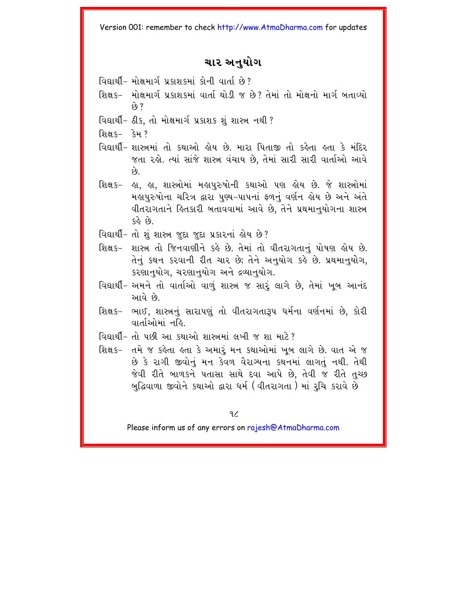#### ચાર અનયોગ

- વિદ્યાર્થી- મોક્ષમાર્ગ પ્રકાશકમાં કોની વાર્તા છે?
- શિક્ષક– મોક્ષમાર્ગ પ્રકાશકમાં વાર્તા થોડી જ છે? તેમાં તો મોક્ષનો માર્ગ બતાવ્યો  $\hat{y}$  ?
- વિદ્યાર્થી- ઠીક, તો મોક્ષમાર્ગ પ્રકાશક શું શાસ્ત્ર નથી ?
- શિક્ષક– કેમ ?
- વિદ્યાર્થી- શાસ્ત્રમાં તો કથાઓ લોય છે. મારા પિતાજી તો કલેતા હતા કે મંદિર જતા રહો. ત્યાં સાંજે શાસ્ત્ર વંચાય છે, તેમાં સારી સારી વાર્તાઓ આવે  $\hat{\omega}$
- શિક્ષક– હા. હા. શાસ્ત્રોમાં મહાપરુષોની કથાઓ પણ હોય છે. જે શાસ્ત્રોમાં મહાપરુષોના ચરિત્ર દ્વારા પણ્ય–પાપનાં ફળનું વર્ણન હોય છે અને અંતે વીતરાગતાને હિતકારી બતાવવામાં આવે છે. તેને પ્રથમાનયોગના શાસ્ત્ર  $63.68$
- વિદ્યાર્થી- તો શું શાસ્ત્ર જુદા જુદા પ્રકારનાં હોય છે?
- શિક્ષક- શાસ્ત્ર તો જિનવાણીને કહે છે. તેમાં તો વીતરાગતાનં પોષણ હોય છે. તેનું કથન કરવાની રીત ચાર છે; તેને અનુયોગ કહે છે. પ્રથમાનુયોગ, કરણાનુયોગ, ચરણાનુયોગ અને દ્રવ્યાનુયોગ.
- વિદ્યાર્થી- અમને તો વાર્તાઓ વાળું શાસ્ત્ર જ સારૂં લાગે છે. તેમાં ખુબ આનંદ આવે છે.
- શિક્ષક– ભાઈ, શાસ્ત્રનું સારાપણું તો વીતરાગતારૂપ ધર્મના વર્ણનમાં છે. કોરી વાર્તાઓમાં નહિ
- વિદ્યાર્થી- તો પછી આ કથાઓ શાસ્ત્રમાં લખી જ શા મારે?
- શિક્ષક– તમે જ કહેતા હતા કે અમારૂં મન કથાઓમાં ખૂબ લાગે છે. વાત એ જ છે કે રાગી જીવોનું મન કેવળ વૈરાગ્યના કથનમાં લાગતું નથી. તેથી જેવી રીતે બાળકને પતાસા સાથે દવા આપે છે. તેવી જ રીતે તચ્છ બુદ્ધિવાળા જીવોને કથાઓ દ્વારા ધર્મ (વીતરાગતા) માં રૂચિ કરાવે છે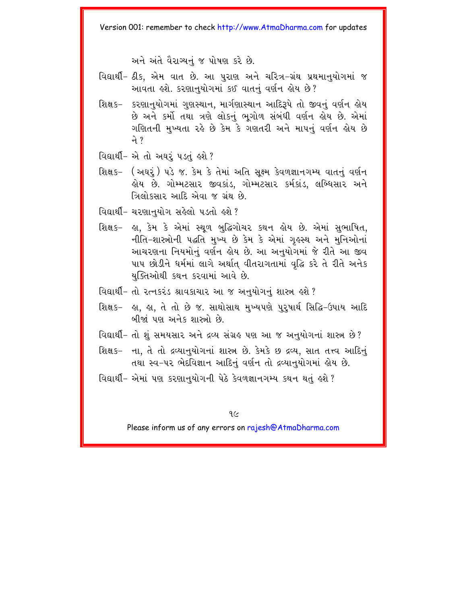અને અંતે વૈરાગ્યનં જ પોષણ કરે છે.

- વિદ્યાર્થી- ઠીક, એમ વાત છે. આ પુરાણ અને ચરિત્ર-ગ્રંથ પ્રથમાનુયોગમાં જ આવતા હશે. કરણાનુયોગમાં કઈ વાતનું વર્ણન હોય છે?
- શિક્ષક− કરણાનુયોગમાં ગુણસ્થાન, માર્ગણાસ્થાન આદિરૂપે તો જીવનું વર્ણન હોય છે અને કર્મો તથા ત્રણે લોકનું ભુગોળ સંબંધી વર્ણન હોય છે. એમાં ગણિતની મુખ્યતા રહે છે કેમ કે ગણતરી અને માપનું વર્ણન હોય છે ने ?
- વિદ્યાર્થી- એ તો અઘર પડતું હશે ?
- શિક્ષક- (અઘરૂં) પડે જ. કેમ કે તેમાં અતિ સક્ષ્મ કેવળજ્ઞાનગમ્ય વાતનું વર્ણન હોય છે. ગોમ્મટસાર જીવકાંડ, ગોમ્મટસાર કર્મકાંડ, લબ્ધિસાર અને ત્રિલોકસાર આદિ એવા જ ગ્રંથ છે.
- વિદ્યાર્થી- ચરણાનુયોગ સહેલો પડતો હશે?
- શિક્ષક- હા, કેમ કે એમાં સ્થળ બુદ્ધિગોચર કથન હોય છે. એમાં સુભાષિત, નીતિ-શાસ્ત્રોની પદ્ધતિ મુખ્ય છે કેમ કે એમાં ગુઢસ્થ અને મુનિઓનાં આચરણના નિયમોનું વર્ણન હોય છે. આ અનુયોગમાં જે રીતે આ જીવ પાપ છોડીને ધર્મમાં લાગે અર્થાત વીતરાગતામાં વૃદ્ધિ કરે તે રીતે અનેક યક્તિઓથી કથન કરવામાં આવે છે.
- વિદ્યાર્થી- તો રત્નકરંડ શ્રાવકાચાર આ જ અનુયોગનું શાસ્ત્ર હશે ?
- શિક્ષક− ઙા. ઙા. તે તો છે જ. સાથોસાથ મખ્યપણે પરપાર્થ સિદ્ધિ−ઉપાય આદિ બીજાં પણ અનેક શાસ્ત્રો છે
- વિદ્યાર્થી- તો શું સમયસાર અને દ્રવ્ય સંગ્રહ પણ આ જ અનુયોગનાં શાસ્ત્ર છે?
- શિક્ષક– ના, તે તો દ્રવ્યાનુયોગનાં શાસ્ત્ર છે. કેમકે છ દ્રવ્ય, સાત તત્ત્વ આદિનું તથા સ્વ-૫૨ ભેદવિજ્ઞાન આદિનું વર્ણન તો દ્રવ્યાનુયોગમાં હોય છે.
- વિદ્યાર્થી- એમાં પણ કરણાનુયોગની પેઠે કેવળજ્ઞાનગમ્ય કથન થતું હશે ?

 $9<sub>2</sub>$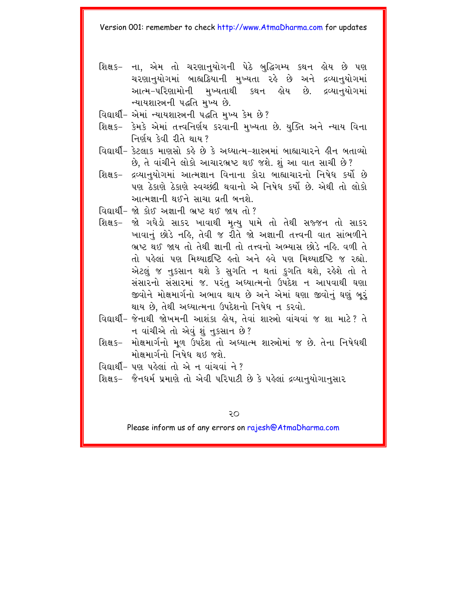- શિક્ષક- ના, એમ તો ચરણાનુયોગની પેઠે બુદ્ધિગમ્ય કથન હોય છે પણ ચરણાનુયોગમાં બાહ્યક્રિયાની મુખ્યતા રહે છે અને દ્રવ્યાનુયોગમાં ન્યાયશાસ્ત્રની પદ્ધતિ મુખ્ય છે.
- વિદ્યાર્થી- એમાં ન્યાયશાસ્ત્રની પદ્ધતિ મખ્ય કેમ છે?
- શિક્ષક– કેમકે એમાં તત્ત્વનિર્ણય કરવાની મુખ્યતા છે. યુક્તિ અને ન્યાય વિના નિર્ણય કેવી રીતે થાય?
- વિદ્યાર્થી- કેટલાક માણસો કહે છે કે અઘ્યાત્મ-શાસ્ત્રમાં બાહ્યાચારને હીન બતાવ્યો છે, તે વાંચીને લોકો આચારભ્રષ્ટ થઈ જશે. શું આ વાત સાચી છે?
- શિક્ષક- દ્રવ્યાનયોગમાં આત્મજ્ઞાન વિનાના કોરા બાહ્યાચારનો નિષેધ કર્યો છે પણ ઠેકાણે ઠેકાણે સ્વચ્છંદી થવાનો એ નિષેધ કર્યો છે. એથી તો લોકો આત્મજ્ઞાની થઈને સાચા વ્રતી બનશે.
- વિદ્યાર્થી- જો કોઈ અજ્ઞાની ભ્રષ્ટ થઈ જાય તો?
- શિક્ષક- જો ગધેડો સાકર ખાવાથી મૃત્યુ પામે તો તેથી સજ્જન તો સાકર ખાવાનં છોડે નહિ. તેવી જ રીતે જો અજ્ઞાની તત્ત્વની વાત સાંભળીને ભ્રષ્ટ થઈ જાય તો તેથી જ્ઞાની તો તત્ત્વનો અભ્યાસ છોડે નહિ. વળી તે તો પહેલાં પણ મિશ્યાદષ્ટિ હતો અને હવે પણ મિશ્યાદષ્ટિ જ રહ્યો એટલું જ નુકસાન થશે કે સુગતિ ન થતાં કુગતિ થશે, રહેશે તો તે સંસારનો સંસારમાં જ. પરંત અઘ્યાત્મનો ઉપદેશ ન આપવાથી ઘણા જીવોને મોક્ષમાર્ગનો અભાવ થાય છે અને એમાં ઘણા જીવોનું ઘણું બુરું થાય છે. તેથી અઘ્યાત્મના ઉપદેશનો નિષેધ ન કરવો.
- વિદ્યાર્થી- જેનાથી જોખમની આશંકા લેય. તેવાં શાસ્ત્રો વાંચવાં જ શા માટે? તે ન વાંચીએ તો એવું શું નુકસાન છે?
- શિક્ષક– મોક્ષમાર્ગનો મળ ઉપદેશ તો અઘ્યાત્મ શાસ્ત્રોમાં જ છે. તેના નિષેધથી મોક્ષમાર્ગનો નિષેધ થઇ જશે.
- $0$  and  $-$  40  $\sqrt{2}$  and  $\frac{1}{2}$  and  $\frac{1}{2}$  and  $\frac{1}{2}$
- શિક્ષક- જૈનધર્મ પ્રમાણે તો એવી પરિપાટી છે કે પહેલાં દ્રવ્યાનુયોગાનુસાર

Φ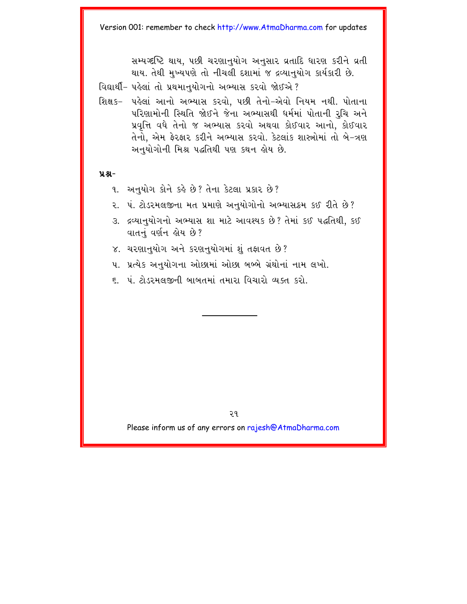સમ્યગ્દષ્ટિ થાય. ૫છી ચરણાનયોગ અનસાર વ્રતાદિ ધારણ કરીને વ્રતી થાય. તેથી મખ્યપણે તો નીચલી દશામાં જ દ્રવ્યાનયોગ કાર્યકારી છે.

વિદ્યાર્થી- પહેલાં તો પ્રથમાનયોગનો અભ્યાસ કરવો જોઈએ?

શિક્ષક- પહેલાં આનો અભ્યાસ કરવો. પછી તેનો-એવો નિયમ નથી. પોતાના પરિણામોની સ્થિતિ જોઈને જેના અભ્યાસથી ધર્મમાં પોતાની રૂચિ અને પ્રવૃત્તિ વધે તેનો જ અભ્યાસ કરવો અથવા કોઈવાર આનો, કોઈવાર તેનો. એમ ફેરફાર કરીને અભ્યાસ કરવો. કેટલાંક શાસ્ત્રોમાં તો બે-ત્રણ અનુયોગોની મિશ્ર પદ્ધતિથી પણ કથન લોય છે.

#### $9.8 -$

- ૧. અનુયોગ કોને કહે છે? તેના કેટલા પ્રકાર છે?
- ૨. પં. ટોડરમલજીના મત પ્રમાણે અનુયોગોનો અભ્યાસક્રમ કઈ રીતે છે?
- ૩. દ્રવ્યાનુયોગનો અભ્યાસ શા માટે આવશ્યક છે? તેમાં કઈ પદ્ધતિથી, કઈ વાતનું વર્ણન હોય છે?
- ૪. ચરણાનુયોગ અને કરણનુયોગમાં શું તફાવત છે?
- ૫. પ્રત્યેક અનયોગના ઓછામાં ઓછા બબ્બે ગ્રંથોનાં નામ લખો.
- ૬ ્ષં ટોડરમલજીની બાબતમાં તમારા વિચારો વ્યક્ત કરો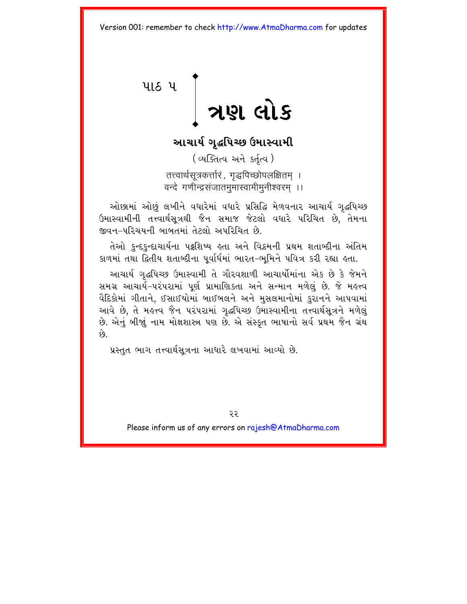# <span id="page-25-0"></span>પાઠ પ |<br>291 લોક

### આચાર્ય ગૃદ્ધપિચ્છ ઉમાસ્વામી

(व्यक्तित्व अने sर्तृत्व) तत्त्वार्थसूत्रकर्त्तारं , गृद्धपिच्छोपलक्षितम । वन्दे गणीन्द्रसंजातममास्वामीमनीश्वरम ।।

ઓછામાં ઓછું લખીને વધારેમાં વધારે પ્રસિદ્ધિ મેળવનાર આચાર્ય ગૃદ્ધપિચ્છ ઉમાસ્વામીની તત્ત્વાર્થસત્રથી જૈન સમાજ જેટલો વધારે પરિચિત છે, તેમના જીવન-પરિચયની બાબતમાં તેટલો અપરિચિત છે

તેઓ કુન્દકુન્દાચાર્યના પટ્ટશિષ્ય હતા અને વિક્રમની પ્રથમ શતાબ્દીના અંતિમ કાળમાં તથા દ્વિતીય શતાબ્દીના પુર્વાર્ધમાં ભારત-ભૂમિને પવિત્ર કરી રહ્યા હતા.

આચાર્ય ગૃદ્ધપિચ્છ ઉમાસ્વામી તે ગૌરવશાળી આચાર્યોમાંના એક છે કે જેમને સમગ્ર આચાર્ય-પરંપરામાં પૂર્ણ પ્રામાણિકતા અને સન્માન મળેલું છે. જે મહત્ત્વ વૈદિકોમાં ગીતાને, ઈસાઈયોમાં બાઈબલને અને મુસલમાનોમાં કુરાનને આપવામાં આવે છે, તે મહત્ત્વ જૈન પરંપરામાં ગૃદ્ધપિચ્છ ઉમાસ્વામીના તત્ત્વાર્થસૂત્રને મળેલું છે. એનું બીજાું નામ મોક્ષશાસ્ત્ર પણ છે. એ સંસ્કૃત ભાષાનો સર્વ પ્રથમ જૈન ગ્રંથ  $\hat{\mathfrak{g}}$ 

પ્રસ્તુત ભાગ તત્ત્વાર્થસૂત્રના આધારે લખવામાં આવ્યો છે.

રર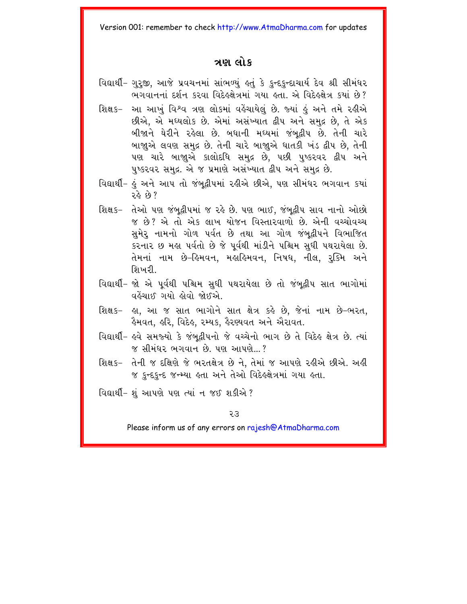#### ત્રણ લોક

- વિદ્યાર્થી- ગુરુજી, આજે પ્રવચનમાં સાંભળ્યું હતું કે કુન્દકુન્દાચાર્ય દેવ શ્રી સીમંધર ભગવાનનાં દર્શન કરવા વિદેહક્ષેત્રમાં ગયા હતા. એ વિદેહક્ષેત્ર કર્યા છે?
- આ આખું વિશ્વ ત્રણ લોકમાં વહેંચાયેલું છે. જ્યાં હું અને તમે રહીએ શિક્ષ ક– છીએ, એ મધ્યલોક છે. એમાં અસંખ્યાત દ્વીપ અને સમુદ્ર છે, તે એક બીજાને ઘેરીને રહેલા છે. બધાની મધ્યમાં જંબદ્વીપ છે. તેની ચારે બાજાુએ લવણ સમુદ્ર છે. તેની ચારે બાજાુએ ધાતકી ખંડ દ્વીપ છે, તેની પણ ચારે બાજાુએ કાલોદધિ સમુદ્ર છે, પછી પુષ્કરવર દ્વીપ અને પુષ્કરવર સમુદ્ર. એ જ પ્રમાણે અસંખ્યાત દ્વીપ અને સમુદ્ર છે.
- વિદ્યાર્થી- હું અને આપ તો જંબદ્વીપમાં રહીએ છીએ, પણ સીમંધર ભગવાન કયાં  $28.9?$
- શિક્ષક- તેઓ પણ જંબદ્વીપમાં જ રહે છે. પણ ભાઈ. જંબદ્વીપ સાવ નાનો ઓછો જ છે? એ તો એક લાખ યોજન વિસ્તારવાળો છે. એની વચ્ચોવચ્ચ સુમેરૂ નામનો ગોળ પર્વત છે તથા આ ગોળ જંબુદ્વીપને વિભાજિત કરનાર છ મહા પર્વતો છે જે પૂર્વથી માંડીને પશ્ચિમ સુધી પથરાયેલા છે. તેમનાં નામ છે-હિમવન, મહાહિમવન, નિષધ, નીલ, રૂક્મિ અને શિખરી..
- વિદ્યાર્થી- જો એ પૂર્વથી પશ્ચિમ સુધી પથરાયેલા છે તો જંબુદ્વીપ સાત ભાગોમાં વહેંચાઈ ગયો લોવો જોઈએ.
- શિક્ષક- હા, આ જ સાત ભાગોને સાત ક્ષેત્ર કહે છે, જેનાં નામ છે-ભરત, ફૈમવત, ક્રુરિ, વિદેક, રમ્યક, ફૈરણ્યવત અને ઐરાવત.
- વિદ્યાર્થી- હવે સમજ્યો કે જંબુદ્વીપનો જે વચ્ચેનો ભાગ છે તે વિદેહ ક્ષેત્ર છે. ત્યાં જ સીમંધર ભગવાન છે. પણ આપણે…?
- શિક્ષક- તેની જ દક્ષિણે જે ભરતક્ષેત્ર છે ને, તેમાં જ આપણે રહીએ છીએ. અહી જ કન્દકન્દ જન્મ્યા હતા અને તેઓ વિદેહક્ષેત્રમાં ગયા હતા.
- વિદ્યાર્થી- શું આપણે પણ ત્યાં ન જઈ શકીએ ?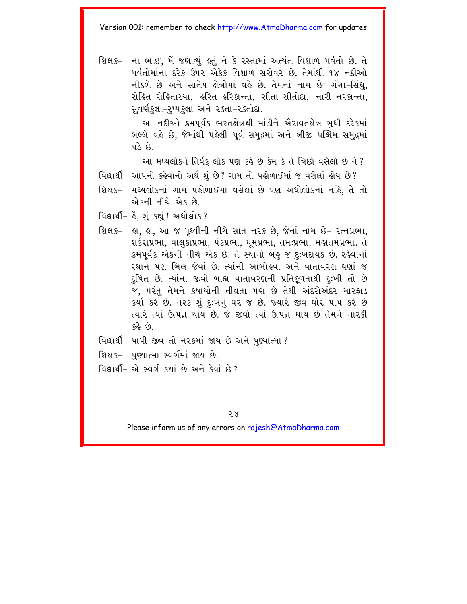શિક્ષક- ના ભાઈ. મેં જણાવ્યં કર્ત ને કે રસ્તામાં અત્યંત વિશાળ પર્વતો છે. તે પૂર્વતોમાંના દરેક ઉપર એકેક વિશાળ સરોવર છે. તેમાંથી ૧૪ નદીઓ નીકળે છે અને સાતેય ક્ષેત્રોમાં વહે છે. તેમનાં નામ છેઃ ગંગા-સિંધ. રોહિત-રોહિતાસ્યા. હરિત-હરિકાન્તા. સીતા-સીતોદા. નારી-નરકાન્તા. સવર્ણકુલા-રુપ્યકુલા અને રક્તા-રક્તોદા.

> આ નદીઓ ક્રમપૂર્વક ભરતક્ષેત્રથી માંડીને ઐરાવતક્ષેત્ર સુધી દરેકમાં બબ્બે વહે છે. જેમાંથી પહેલી પૂર્વ સમુદ્રમાં અને બીજી પશ્ચિમ સમુદ્રમાં  $y \rightarrow y$

આ મઘ્યલોકને તિર્યક લોક પણ કહે છે કેમ કે તે ત્રિછો વસેલો છે ને?

- વિદ્યાર્થી- આપનો કહેવાનો અર્થ શું છે? ગામ તો પહોળાઈમાં જ વસેલાં હોય છે?
- શિક્ષક- મધ્યલોકનાં ગામ પહોળાઈમાં વસેલાં છે પણ અધોલોકનાં નહિ, તે તો એકની નીચે એક છે
- વિદ્યાર્થી- કે, શું કહ્યું ! અધોલોક ?
- શિક્ષક− હા, હા, આ જ પૃથ્વીની નીચે સાત ન૨ક છે, જેનાં નામ છે− રત્નપ્રભા, શર્કરાપ્રભા, વાલુકાપ્રભા, પંકપ્રભા, ધૂમપ્રભા, તમઃપ્રભા, મહાતમપ્રભા. તે ક્રમપૂર્વક એકની નીચે એક છે. તે સ્થાનો બહુ જ દઃખદાયક છે. રહેવાનાં સ્થાન પણ બિલ જેવાં છે. ત્યાંની આબોહવા અને વાતાવરણ ઘણાં જ દુષિત છે. ત્યાંના જીવો બાહ્ય વાતાવરણની પ્રતિકળતાથી દઃખી તો છે જ. પરંતુ તેમને કપાયોની તીવ્રતા પણ છે તેથી અંદરોઅંદર મારફાડ કર્યા કરે છે. નરક શું દઃખનું ઘર જ છે. જ્યારે જીવ ઘોર પાપ કરે છે ત્યારે ત્યાં ઉત્પન્ન થાય છે. જે જીવો ત્યાં ઉત્પન્ન થાય છે તેમને નારકી 62 ER
- વિદ્યાર્થી- પાપી જીવ તો નરકમાં જાય છે અને પુણ્યાત્મા?
- શિક્ષક- પુણ્યાત્મા સ્વર્ગમાં જાય છે.
- વિદ્યાર્થી- એ સ્વર્ગ કર્યા છે અને કેવાં છે?

 $5x$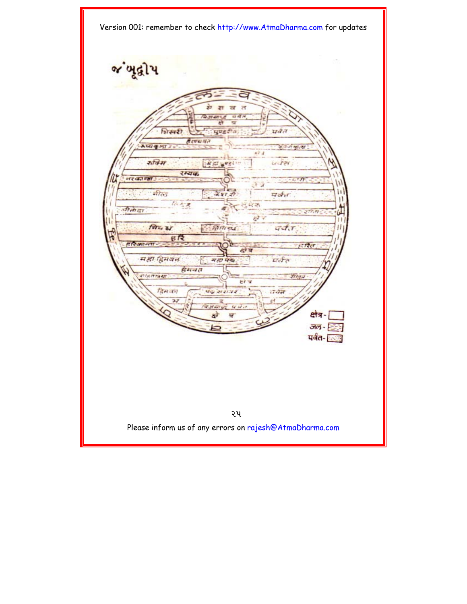જ ખૂદ્વી પ **art**  $\overline{z}$  $\overline{H}$ **Radit Land Car**  $\overrightarrow{u}$  d  $\overrightarrow{n}$ शिस्परी uugta पर्वत है रच्या मृत **ALC & MIT** अंत जा का ला  $47.4$ संबिम  $U/T$ 24 ■ 耳声 ■ wed : रम्यक नर का ना ü ्रे<sup>ं मी</sup>ल  $\mathbf{1}$  $787.27$ पर्वत  $\mathbf{1}$ 谷々さ đ 52 जीतीदा  $277.77$  $\mathbf{H}$ निय थ  $_{H}$ तिमान्द्र  $47.7$  $B12$ **ARMAT**  $ETZcT$ महा हिमवन यर्जन म हा पक्ष डेमचत and post 154 apr . रोहिल HY W दिस वन ायेत प्रता अवाजव コア 1431419  $47.47.1$ क्षेत्र-को <u>जल - निः</u> पर्वत- <u>कर्ल</u>

2p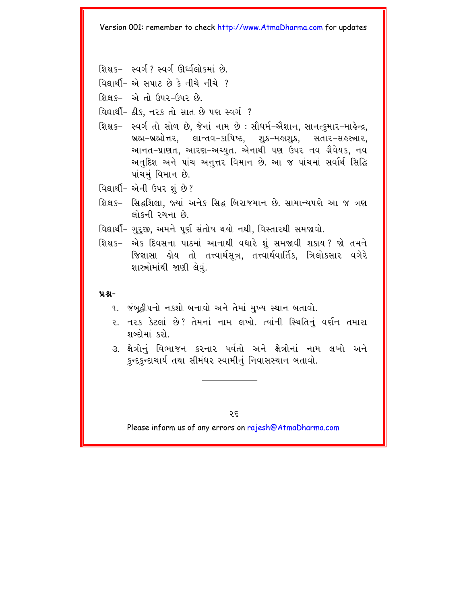- શિક્ષક- સ્વર્ગ ? સ્વર્ગ ઊર્દ્ધલોકમાં છે
- $\boxed{0 \sin 2 \left(1 3 \right) 3 \sin 2 \left(1 + 3 \right)}$
- શિક્ષક- એ તો ઉપર-ઉપર છે.
- વિદ્યાર્થી- ઠીક, નરક તો સાત છે પણ સ્વર્ગ ?
- શિક્ષક– સ્વર્ગતો સોળ છે, જેનાં નામ છે : સૌધર્મ-ઐશાન, સાનત્કુમાર-માર્લેન્દ્ર, બ્રહ્મ-બ્રહ્મોત્તર, લાન્તવ-કાપિષ્ઠ, શુક્ર-મહાશુક્ર, સતાર-સહસ્ત્રાર, આનત-પ્રાણત, આરણ-અચ્યુત. એનાથી પણ ઉપર નવ ગ્રૈવેયક, નવ અનુદિશ અને પાંચ અનુત્તર વિમાન છે. આ જ પાંચમાં સર્વાર્થ સિદ્ધિ પાંચમં વિમાન છે.
- વિદ્યાર્થી- એની ઉપર શં છે?
- શિક્ષક- સિદ્ધશિલા, જ્યાં અનેક સિદ્ધ બિરાજમાન છે. સામાન્યપણે આ જ ત્રણ લોકની રચના છે.
- વિદ્યાર્થી- ગુરૂજી, અમને પૂર્ણ સંતોષ થયો નથી, વિસ્તારથી સમજાવો.
- શિક્ષક- એક દિવસના પાઠમાં આનાથી વધારે શું સમજાવી શકાય? જો તમને જિજ્ઞાસા હોય તો તત્ત્વાર્થસૂત્ર, તત્ત્વાર્થવાર્તિક, ત્રિલોકસાર વગેરે શાસ્ત્રોમાંથી જાણી લેવું.

#### $9.8 -$

- ૧. જંબુદ્વીપનો નકશો બનાવો અને તેમાં મુખ્ય સ્થાન બતાવો.
- ૨. ન૨ક કેટલાં છે? તેમનાં નામ લખો. ત્યાંની સ્થિતિનું વર્ણન તમારા શબ્દોમાં દરો
- ૩. ક્ષેત્રોનં વિભાજન કરનાર પર્વતો અને ક્ષેત્રોનાં નામ લખો અને કુન્દકુન્દાચાર્ય તથા સીમંધર સ્વામીનું નિવાસસ્થાન બતાવો.

२६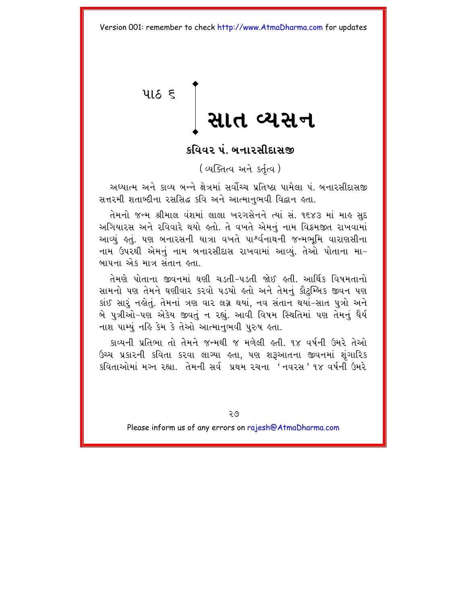<span id="page-30-0"></span>પાઠ $\epsilon$ 

# સાત વ્યસન

#### કવિવર પં. બનારસીદાસજી

(व्यक्तित्व अने sर्तृत्व)

અઘ્યાત્મ અને કાવ્ય બન્ને ક્ષેત્રમાં સર્વોચ્ચ પ્રતિષ્ઠા પામેલા ૫ં બનારસીદાસજી સત્તરમી શતાબ્દીના રસસિદ્ધ કવિ અને આત્માનભવી વિદ્વાન હતા.

તેમનો જન્મ શ્રીમાલ વંશમાં લાલા ખરગસેનને ત્યાં સં. ૧૬૪૩ માં માહ સુદ અગિયારસ અને રવિવારે થયો હતો. તે વખતે એમનું નામ વિક્રમજીત રાખવામાં આવ્યું હતું. પણ બનારસની યાત્રા વખતે પા<sup>શ્</sup>ર્વનાથની જન્મભૂમિ વારાણસીના નામ ઉપરથી એમનું નામ બનારસીદાસ રાખવામાં આવ્યું. તેઓ પોતાના મા-બાપના એક માત્ર સંતાન હતા.

તેમણે પોતાના જીવનમાં ઘણી ચડતી-પડતી જોઈ હતી. આર્થિક વિષમતાનો સામનો પણ તેમને ઘણીવાર કરવો પડયો હતો અને તેમનું કૌટુમ્બિક જીવન પણ કાંઈ સારૂં નહોતું. તેમનાં ત્રણ વાર લગ્ન થયાં, નવ સંતાન થયાં-સાત પુત્રો અને બે પુત્રીઓ-પણ એકેય જીવતું ન રહ્યું. આવી વિષમ સ્થિતિમાં પણ તેમનું ધૈર્ય નાશ પામ્યું નહિ કેમ કે તેઓ આત્માનુભવી પુરુષ હતા.

કાવ્યની પ્રતિભા તો તેમને જન્મથી જ મળેલી હતી. ૧૪ વર્ષની ઉમરે તેઓ ઉચ્ચ પ્રકારની કવિતા કરવા લાગ્યા હતા, પણ શરૂઆતના જીવનમાં શુંગારિક કવિતાઓમાં મગ્ન રહ્યા. તેમની સર્વ પ્રથમ રચના 'નવરસ'૧૪ વર્ષની ઉમરે

२७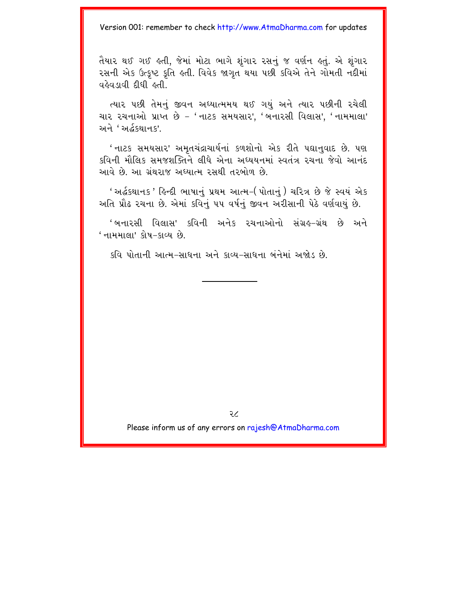તૈયાર થઈ ગઈ હતી, જેમાં મોટા ભાગે શંગાર રસનં જ વર્ણન હતં. એ શંગાર રસની એક ઉત્કષ્ટ કતિ હતી. વિવેક જાગત<sup>ે</sup>થયા પછી કવિએ તેને ગોમતી નદીમાં  $\alpha$ લેવાલવી દીધી હતી.

ત્યાર પછી તેમનું જીવન અઘ્યાત્મમય થઈ ગયું અને ત્યાર પછીની રચેલી ચાર રચનાઓ પ્રાપ્ત છે - 'નાટક સમયસાર', 'બનારસી વિલાસ', 'નામમાલા' અને 'અર્દ્ધશાનક'

' નાટક સમયસાર' અમતચંદ્રાચાર્યનાં કળશોનો એક રીતે પદ્યાનવાદ છે. પણ કવિની મૌલિક સમજશક્તિને લીધે એના અધ્યયનમાં સ્વતંત્ર રચના જેવો આનંદ આવે છે. આ ગ્રંથરાજ અઘ્યાત્મ રસથી તરબોળ છે.

' અર્દ્ધકથાનક ' હિન્દી ભાષાનું પ્રથમ આત્મ–( પોતાનું ) ચરિત્ર છે જે સ્વયં એક અતિ પ્રૌઢ રચના છે. એમાં કવિનું ૫૫ વર્ષનું જીવન અરીસાની પેઠે વર્ણવાયું છે.

'બનારસી વિલાસ' કવિની અનેક રચનાઓનો સંગ્રહ-ગ્રંથ છે અને ' નામમાલા' કોષ–કાવ્ય છે

કવિ પોતાની આત્મ-સાધના અને કાવ્ય-સાધના બંનેમાં અજોડ છે.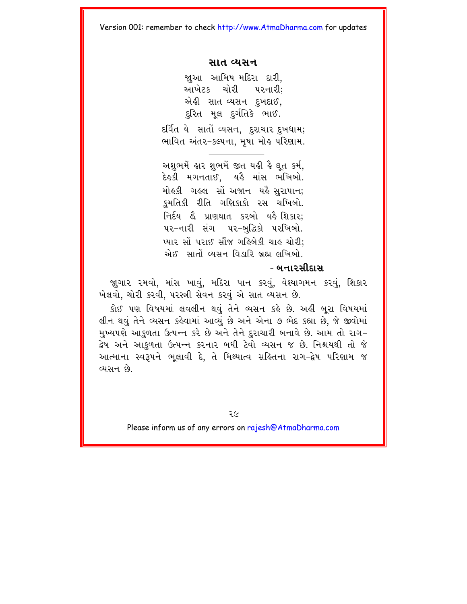#### સાત વ્યસન

જાઆ આમિષ મદિરા દારી. આખેટક ચોરી પરનારી: એહી સાત વ્યસન દુખદાઈ, દુરિત મૂલ દુર્ગતિકે ભાઈ.

દર્વિત યે સાતોં વ્યસન, દુરાચાર દુખધામ; ભાવિત અંતર-કલ્પના, મુષા મોહ પરિણામ.

અશભમેં હાર શભમેં જીત યહી હૈ ઘત કર્મ. દેહકી મગનતાઈ, યહૈ માંસ ભખિબો. મોહકી ગહલ સોં અજાન યહૈ સુરાપાન; કુમતિકી રીતિ ગણિકાકો રસ ચખિબો. નિર્દય હૈ પ્રાણધાત કરબો યહૈ શિકાર; ૫૨-નારી સંગ ૫૨-બદ્ધિકો પરખિબો. પ્યાર સોં પરાઈ સૌંજ ગહિબેકી ચાહ ચોરી: એઈ. સાતોં વ્યસન વિડારિ બ્રહ્મ લખિબો.

#### - બનારસીદાસ

જાગાર રમવો, માંસ ખાવું, મદિરા પાન કરવું, વેશ્યાગમન કરવું, શિકાર ખેલવો, ચોરી કરવી, પરસ્ત્રી સેવન કરવું એ સાત વ્યસન છે.

કોઈ પણ વિષયમાં લવલીન થવું તેને વ્યસન કર્લ છે. અહીં બરા વિષયમાં લીન થવું તેને વ્યસન કહેવામાં આવ્યું છે અને એના ૭ ભેદ કહ્યા છે, જે જીવોમાં મુખ્યપણે આકુળતા ઉત્પન્ન કરે છે અને તેને દુરાચારી બનાવે છે. આમ તો રાગ-દ્વેષ અને આકુળતા ઉત્પન્ન કરનાર બધી ટેવો વ્યસન જ છે. નિશ્ચયથી તો જ<mark>ે</mark> આત્માના સ્વરૂપને ભુલાવી દે. તે મિથ્યાત્વ સહિતના રાગ-દ્વેષ પરિણામ જ વ્યસન છે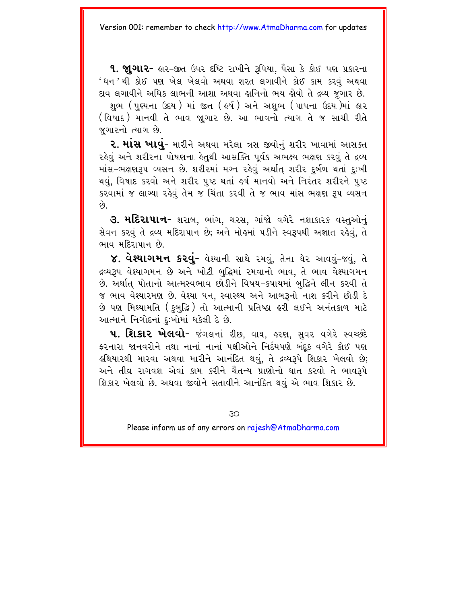**૧. જાગાર-** હાર-જીત ઉપર દીષ્ટિ રાખીને રૂપિયા, પૈસા કે કોઈ પણ પ્રકારના ' ધન ' થી કોઈ પણ ખેલ ખેલવો અથવા શરત લગાવીને કોઈ કામ કરવું અથવા દાવ લગાવીને અધિક લાભની આશા અથવા લુનિનો ભય લેવો તે દ્રવ્ય જુગાર છે. શભ (પણ્યના ઉદય ) માં જીત ( હર્ષ ) અને અશભ (પાપના ઉદય )માં હાર (વિષાદ) માનવી તે ભાવ જાગાર છે. આ ભાવનો ત્યાગ તે જ સાચી રીતે જગારનો ત્યાગ છે.

**૨. માંસ ખાવું-** મારીને અથવા મરેલા ત્રસ જીવોનું શરીર ખાવામાં આસક્ત રહેવં અને શરીરના પોષણના હેતથી આસક્તિ પર્વક અભક્ષ્ય ભક્ષણ કરવં તે દ્રવ્ય માંસ-ભક્ષણરૂપ વ્યસન છે. શરીરમાં મગ્ન રહેવું અર્થાત શરીર દુર્બળ થતાં દુઃખી થવું, વિષાદ કરવો અને શરીર પુષ્ટ થતાં હર્ષ માનવો અને નિરંતર શરીરને પુષ્ટ કરવામાં જ લાગ્યા રહેવું તેમ જ ચિંતા કરવી તે જ ભાવ માંસ ભક્ષણ રૂપ વ્યસન  $\hat{\rho_3}$ 

3. મદિરાપાન- શરાબ, ભાંગ, ચરસ, ગાંજો વગેરે નશાકારક વસ્તુઓનું સેવન કરવું તે દ્રવ્ય મદિરાપાન છે: અને મોહમાં પડીને સ્વરૂપથી અજ્ઞાત રહેવું. તે ભાવ મદિરાપાન છે.

૪. વેશ્યાગમન કરવું- વેશ્યાની સાથે રમવું, તેના ઘેર આવવું-જવું, તે દ્રવ્યરૂપ વેશ્યાગમન છે અને ખોટી બુદ્ધિમાં રમવાનો ભાવ, તે ભાવ વેશ્યાગમન છે. અર્થાત પોતાનો આત્મસ્વભાવ છોડીને વિષય-કષાયમાં બદ્ધિને લીન કરવી તે જ ભાવ વેશ્યારમણ છે. વેશ્યા ધન, સ્વાસ્થ્ય અને આબરૂનો નાશ કરીને છોડી દે છે પણ મિથ્યામતિ (કુબુદ્ધિ) તો આત્માની પ્રતિષ્ઠા હરી લઈને અનંતકાળ માટે આત્માને નિગોદનાં દુઃખોમાં ઘકેલી દે છે.

u. શિકાર ખેલવો- જંગલનાં રીછ, વાઘ, હરણ, સુવર વગેરે સ્વચ્છદે ફરનારા જાનવરોને તથા નાનાં નાનાં પક્ષીઓને નિર્દયપણે બંદક વગેરે કોઈ પણ હથિયારથી મારવા અથવા મારીને આનંદિત થવું, તે દ્રવ્યરૂપે શિકાર ખેલવો છે; અને તીવ્ર રાગવશ એવાં કામ કરીને ચૈતન્ય પ્રાણોનો ઘાત કરવો તે ભાવરૂપે શિકાર ખેલવો છે. અથવા જીવોને સતાવીને આનંદિત થવં એ ભાવ શિકાર છે.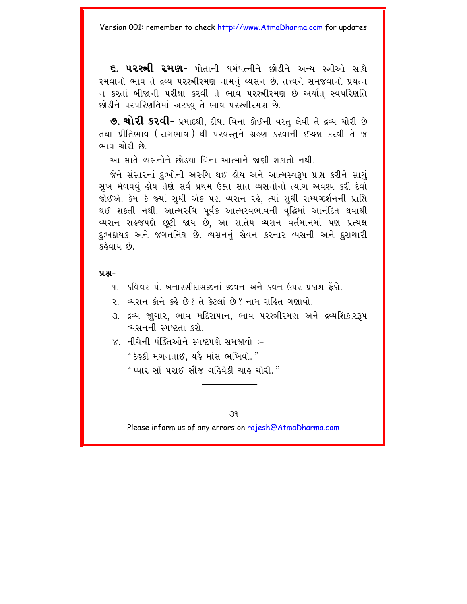૬. પ૨સ્ત્રી ૨મણ- પોતાની ધર્મપત્નીને છોડીને અન્ય સ્ત્રીઓ સાથે રમવાનો ભાવ તે દ્રવ્ય પરસ્ત્રીરમણ નામનં વ્યસન છે. તત્ત્વને સમજવાનો પ્રયત્ન ન કરતાં બીજાની પરીક્ષા કરવી તે ભાવ પરસ્ત્રીરમણ છે અર્થાત સ્વપરિણતિ છોડીને પરપરિણતિમાં અટકવું તે ભાવ પરસ્ત્રીરમણ છે.

**૭. ચોરી કરવી-** પ્રમાદથી. દીધા વિના કોઈની વસ્તુ લેવી તે દ્રવ્ય ચોરી છે તથા પ્રીતિભાવ (રાગભાવ) થી ૫રવસ્તને ગ્રહણ કરવાની ઈચ્છા કરવી તે જ ભાવ ચોરી છે

આ માતે વ્યસનોને છોડ્યા વિના આત્માને જાણી શકાતો નથી.

જેને સંસારનાં દુઃખોની અરુચિ થઈ હોય અને આત્મસ્વરૂપ પ્રાપ્ત કરીને સાચું સુખ મેળવવું હોય તેણે સર્વ પ્રથમ ઉક્ત સાત વ્યસનોનો ત્યાગ અવશ્ય કરી દેવો જોઈએ. કેમ કે જ્યાં સુધી એક પણ વ્યસન રહે, ત્યાં સુધી સમ્યગ્દર્શનની પ્રાપ્તિ થઈ શકતી નથી. આત્મરુચિ પૂર્વક આત્મસ્વભાવની વૃદ્ધિમાં આનંદિત થવાથી વ્યસન સહજપણે છૂટી જાય છે, આ સાતેય વ્યસન વર્તમાનમાં પણ પ્રત્યક્ષ દઃખદાયક અને જગતનિંઘ છે. વ્યસનનું સેવન કરનાર વ્યસની અને દુરાચારી કઢેવાય છે

 $9.8 -$ 

- ૧ કવિવર ૫ બનારસીદાસજીનાં જીવન અને કવન ઉપર પ્રકાશ કૈકો
- ર વ્યસન કોને કહે છે? તે કેટલાં છે? નામ સહિત ગણાવો
- ૩. દ્રવ્ય જાગાર, ભાવ મદિરાપાન, ભાવ પરસ્ત્રીરમણ અને દ્રવ્યશિકારરૂપ વ્યસનની સ્પષ્ટતા કરો
- $\times$  નીચેની પંક્તિઓને સ્પષ્ટપણે સમજાવો :-" દેહુકી મગનતાઈ. યહૈ માંસ ભખિવો. " " પ્યાર સોં પરાઈ સૌંજ ગહિવેકી ચાહ ચોરી. "

 $39$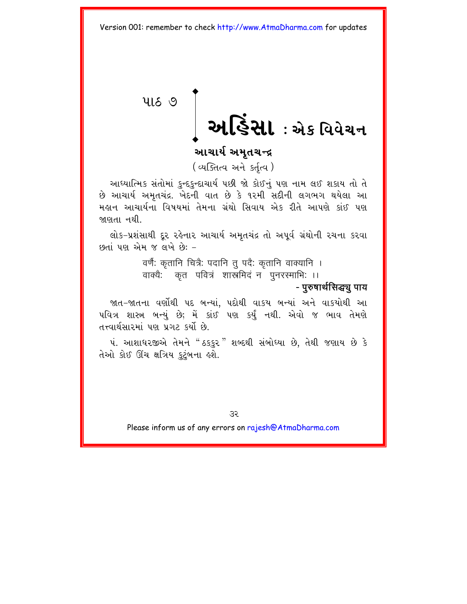# <span id="page-35-0"></span>**4169 | આર્ડિસા: એક વિવેચન**

#### આચાર્ય અમતચન્દ્ર

(व्यक्तित्व अने sर्तृत्व)

આધ્યાત્મિક સંતોમાં કુન્દકુન્દાચાર્ય પછી જો કોઈનું પણ નામ લઈ શકાય તો તે છે આચાર્ય અમૃતચંદ્ર. ખેદની વાત છે કે ૧૨મી સદીની લગભગ થયેલા આ મહાન આચાર્યના વિષયમાં તેમના ગ્રંથો સિવાય એક રીતે આપણે કાંઈ પણ જાણતા નથી.

લોક-પ્રશંસાથી દૂર રહેનાર આચાર્ય અમૃતચંદ્ર તો અપૂર્વ ગ્રંથોની રચના કરવા  $19 - 29 - 34$ 

वर्णैः कृतानि चित्रैः पदानि तू पदैः कृतानि वाक्यानि ।

वाक्यैः कृत पवित्रं शास्त्रमिदं न पुनरस्माभिः ।।

#### - पुरुषार्थसिद्ध्यू पाय

જાત-જાતના વર્ણોથી પદ બન્યાં, પદોથી વાકય બન્યાં અને વાકયોથી આ પવિત્ર શાસ્ત્ર બન્યું છે; મેં કાંઈ પણ કર્યું નથી. એવો જ ભાવ તેમણે તત્ત્વાર્થસારમાં પણ પ્રગટ કર્યો છે.

પં. આશાધરજીએ તેમને "ઠકકર" શબ્દથી સંબોધ્યા છે. તેથી જણાય છે કે તેઓ કોઈ ઊંચ ક્ષત્રિય કટંબના હશે.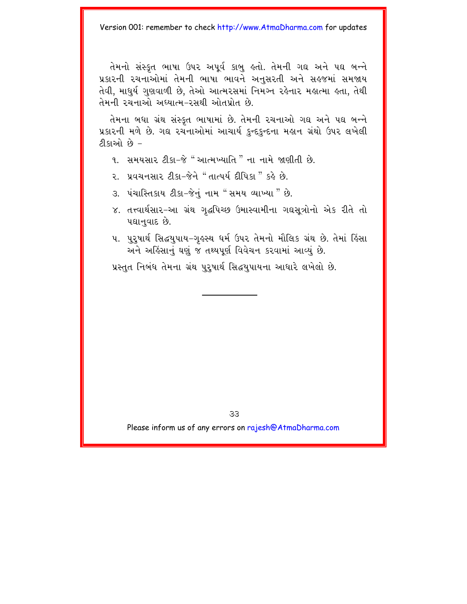તેમનો સંસ્કૃત ભાષા ઉપર અપૂર્વ કાબુ હતો. તેમની ગદ્ય અને પદ્ય બન્ને પ્રકારની રચનાઓમાં તેમની ભાષા ભાવને અનુસરતી અને સહજમાં સમજાય તેવી, માધર્ય ગુણવાળી છે. તેઓ આત્મરસમાં નિમગ્ન રહેનાર મહાત્મા હતા. તેથી તેમની રચનાઓ અધ્યાત્મ-રસથી ઓતપ્રોત છે.

તેમના બધા ગ્રંથ સંસ્કૃત ભાષામાં છે. તેમની રચનાઓ ગઘ અને પઘ બન્ને પ્રકારની મળે છે. ગઘ રચનાઓમાં આચાર્ય કુન્દકુન્દના મહાન ગ્રંથો ઉપર લખેલી ટીકાઓ છે –

- ૧. સમયસાર ટીકા–જે "આત્મખ્યાતિ " ના નામે જાણીતી છે.
- 2. પ્રવચનસાર ટીકા-જેને "તાત્પર્ય દીપિકા " કહે છે.
- 3. પંચાસ્તિકાય ટીકા-જેનું નામ "સમય વ્યાખ્યા " છે.
- ૪. તત્ત્વાર્થસાર–આ ગ્રંથ ગૃદ્ધપિચ્છ ઉમાસ્વામીના ગઘસૂત્રોનો એક રીતે તો પદ્યાનુવાદ છે.
- પ. પુરૂષાર્થ સિદ્ધયુપાય–ગુલ્સ્થ ધર્મ ઉપર તેમનો મૌલિક ગ્રંથ છે. તેમાં હિંસા અને અહિંસાનું ઘણું જ તથ્યપૂર્ણ વિવેચન કરવામાં આવ્યું છે.

પ્રસ્તુત નિબંધ તેમના ગ્રંથ પુરૂષાર્થ સિદ્ધયુપાયના આધારે લખેલો છે.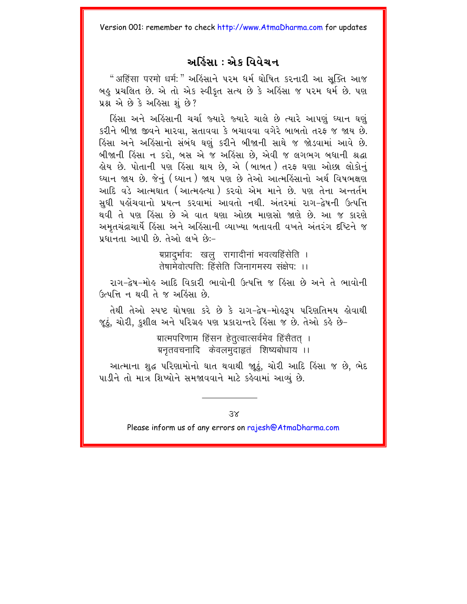#### અહિંસા : એક વિવેચન

"अहिंसा परमो धर्म:" અહિંસાને પરમ ધર્મ ઘોષિત કરનારી આ સક્તિ આજ બહુ પ્રચલિત છે. એ તો એક સ્વીકૃત સત્ય છે કે અહિંસા જ ૫૨મ ધર્મ છે. ૫શ પ્રશ્ન એ છે કે અહિસા શું છે?

હિંસા અને અહિંસાની ચર્ચા જ્યારે જ્યારે ચાલે છે ત્યારે આપણું ધ્યાન ઘણું કરીને બીજા જીવને મારવા, સતાવવા કે બચાવવા વગેરે બાબતો તરફ જ જાય છે. હિંસા અને અહિંસાનો સંબંધ ઘણું કરીને બીજાની સાથે જ જોડવામાં આવે છે. બીજાની હિંસા ન કરો, બસ એ જ અહિંસા છે, એવી જ લગભગ બધાની શ્રદ્ધા હોય છે. પોતાની પણ હિંસા થાય છે, એ (બાબત) તરફ ઘણા ઓછા લોકોન<mark>ું</mark> ઘ્યાન જાય છે. જેનું (ઘ્યાન) જાય પણ છે તેઓ આત્મહિંસાનો અર્થ વિષભક્ષણ આદિ વડે આત્મઘાત (આત્મઙ્ત્યા ) કરવો એમ માને છે. પણ તેના અન્તર્તમ સધી પહોંચવાનો પ્રયત્ન કરવામાં આવતો નથી. અંતરમાં રાગ-દ્વેષની ઉત્પત્તિ થવી તે પણ હિંસા છે એ વાત ઘણા ઓછા માણસો જાણે છે. આ જ કારણે અમૃતચંદ્રાચાર્યે હિંસા અને અહિંસાની વ્યાખ્યા બતાવતી વખતે અંતરંગ દષ્ટિને જ પ્રધાનતા આપી છે. તેઓ લખે છે:-

> ग्रप्रादुर्भाव: खलू रागादीनां भवत्यहिंसेति । ्<br>तेषामेवोत्पत्ति: हिंसेति जिनागमस्य संक्षेप: ।।

રાગ-દેષ-મોહ આદિ વિકારી ભાવોની ઉત્પત્તિ જ હિંસા છે અને તે ભાવોની ઉત્પત્તિ ન થવી તે જ અહિંસા છે.

તેથી તેઓ સ્પષ્ટ ઘોષણા કરે છે કે રાગ-દ્વેષ-મોલ્ર્ડમ પરિણતિમય લોવાથી જૂઠું, ચોરી, કુશીલ અને પરિગ્રહ પણ પ્રકારાન્તરે હિંસા જ છે. તેઓ કહે છે–

> ग्रात्मपरिणाम हिंसन हेतुत्वात्सर्वमेव हिंसैतत । ग्रनुतवचनादि केवलमुदाहृतं शिष्यबोधाय ।।

આત્માના શુદ્ધ પરિણામોનો ઘાત થવાથી જાઠું, ચોરી આદિ હિંસા જ છે, ભેદ પાડીને તો માત્ર શિષ્યોને સમજાવવાને માટે કહેવામાં આવ્યું છે.

 $\overline{\mathcal{S}}$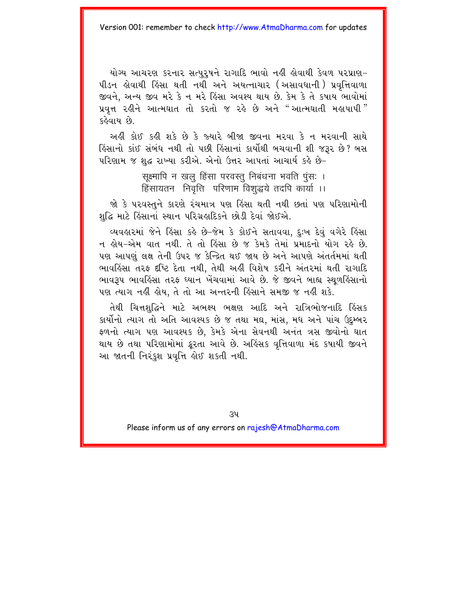યોગ્ય આચરણ કરનાર સત્પરષને રાગાદિ ભાવો નહી હોવાથી કેવળ પરપ્રાણ-જીવને. અન્ય જીવ મરે કે ન મરે હિંસા અવશ્ય થાય છે. કેમ કે તે કપાય ભાવોમાં , પ્રવૃત્ત રહીને આત્મઘાત તો કરતો જ રહે છે અને "આત્મઘાતી મહાપાપી<sup>"</sup> કઢેવાય છે

અહીં કોઈ કહી શકે છે કે જ્યારે બીજા જીવના મરવા કે ન મરવાની સાથે હિંસાનો કાંઈ સંબંધ નથી તો પછી હિંસાનાં કાર્યોથી બચવાની શી જરૂર છે? બસ પરિણામ જ શુદ્ધ રાખ્યા કરીએ. એનો ઉત્તર આપતાં આચાર્ય કહે છે-

> सूक्ष्मापि न खलु हिंसा परवस्तु निबंधना भवति पुंस: । हिंसायतन निवत्ति परिणाम विशद्धये तदपि कार्या ।।

જો કે પરવસ્તુને કારણે રંચમાત્ર પણ હિંસા થતી નથી છતાં પણ પરિણામોની શુદ્ધિ માટે હિંસાનાં સ્થાન પરિગ્રહાદિકને છોડી દેવાં જોઈએ.

વ્યવહારમાં જેને હિંસા કહે છે-જેમ કે કોઈને સતાવવા, દુઃખ દેવું વગેરે હિંસા ન લોય-એમ વાત નથી. તે તો લિંસા છે જ કેમકે તેમાં પ્રમાદનો યોગ રહે છે. પણ આપણું લક્ષ તેની ઉપર જ કેન્દ્રિત થઈ જાય છે અને આપણે અંતર્તમમાં થતી ભાવહિંસા તરફ દષ્ટિ દેતા નથી, તેથી અહીં વિશેષ કરીને અંતરમાં થતી રાગાદિ ભાવરૂપ ભાવકિંસા તરફ ઘ્યાન ખેંચવામાં આવે છે. જે જીવને બાહ્ય સ્થળકિંસાનો ૫ણ ત્યાગ નહીં હોય, તે તો આ અન્તરની હિંસાને સમજી જ નહીં શકે.

તેથી ચિત્તશુદ્ધિને માટે અભક્ષ્ય ભક્ષણ આદિ અને રાત્રિભોજનાદિ હિંસક કાર્યોનો ત્યાગ તો અતિ આવશ્યક છે જ તથા મઘ. માંસ. મધ અને પાંચ ઉદમ્બર ફળનો ત્યાગ પણ આવશ્યક છે. કેમકે એના સેવનથી અનંત ત્રસ જીવોનો ઘાત થાય છે તથા પરિણામોમાં ક્રૂરતા આવે છે. અહિંસક વૃત્તિવાળા મંદ કપાયી જીવને આ જાતની નિરંકુશ પ્રવૃત્તિ હોઈ શકતી નથી.

 $34$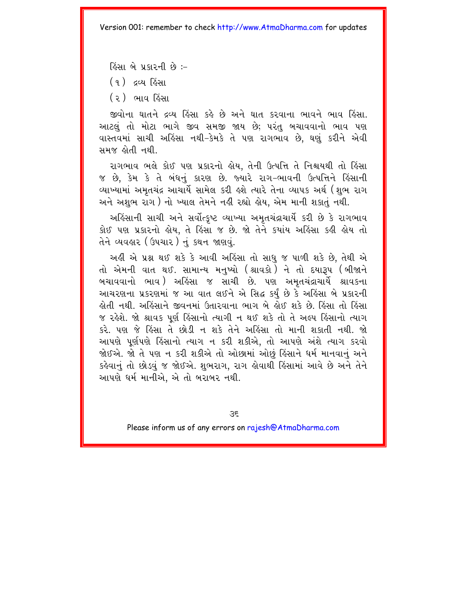હિંસા બે પ્રકારની છે :-

(૧) દવ્ય હિંસા

( ર ) ભાવ હિંસા

જીવોના ઘાતને દ્રવ્ય હિંસા કહે છે અને ઘાત કરવાના ભાવને ભાવ હિંસા. આટલું તો મોટા ભાગે જીવ સમજી જાય છે; પરંતુ બચાવવાનો ભાવ પણ વાસ્તવમાં સાચી અહિંસા નથી-કેમકે તે પણ રાગભાવ છે, ઘણું કરીને એવી સમજ હોતી નથી

રાગભાવ ભલે કોઈ પણ પ્રકારનો હોય. તેની ઉત્પત્તિ તે નિશ્ચયથી તો હિંસા જ છે, કેમ કે તે બંધનું કારણ છે. જ્યારે રાગ-ભાવની ઉત્પત્તિને હિંસાની વ્યાખ્યામાં અમતચંદ્ર આચાર્યે સામેલ કરી લ્શે ત્યારે તેના વ્યાપક અર્થ (શભ રાગ અને અશુભ રાગ) નો ખ્યાલ તેમને નહી રહ્યો હોય. એમ માની શકાતં નથી.

અહિંસાની સાચી અને સર્વોત્કૃષ્ટ વ્યાખ્યા અમૃતચંદ્રાચાર્યે કરી છે કે રાગભાવ કોઈ પણ પ્રકારનો હોય, તે હિંસા જ છે. જો તેને કયાંય અહિંસા કહી હોય તો તેને વ્યવહાર (ઉપચાર) નું કથન જાણવું.

અહી એ પ્રશ્ન થઈ શકે કે આવી અહિંસા તો સાધુ જ પાળી શકે છે, તેથી એ તો એમની વાત થઈ. સામાન્ય મનખ્યો (શ્રાવકો <sup>)</sup>ને તો દયારૂપ (બીજાને બચાવવાનો ભાવ ) અહિંસા જ સાચી છે. પણ અમતચંદ્રાચાર્યે શ્રાવકના આચરણના પ્રકરણમાં જ આ વાત લઈને એ સિદ્ધ કર્ય છે કે અહિંસા બે પ્રકારની હોતી નથી અહિંસાને જીવનમાં ઉતારવાના ભાગ બે હોઈ શકે છે હિંસા તો હિંસા જ રહેશે. જો શ્રાવક પર્ણ હિંસાનો ત્યાગી ન થઈ શકે તો તે અલ્પ હિંસાનો ત્યાગ કરે. પણ જે હિંસા તે છોડી ન શકે તેને અહિંસા તો માની શકાતી નથી. જો આપણે પર્ણપણે હિંસાનો ત્યાગ ન કરી શકીએ. તો આપણે અંશે ત્યાગ કરવો જોઈએ. જો તે પણ ન કરી શકીએ તો ઓછામાં ઓછું હિંસાને ધર્મ માનવાનું અને કહેવાનં તો છોડવં જ જોઈએ. શભરાગ. રાગ લેવાથી હિંસામાં આવે છે અને તેને આપણે ધર્મ માનીએ. એ તો બરાબર નથી.

 $35$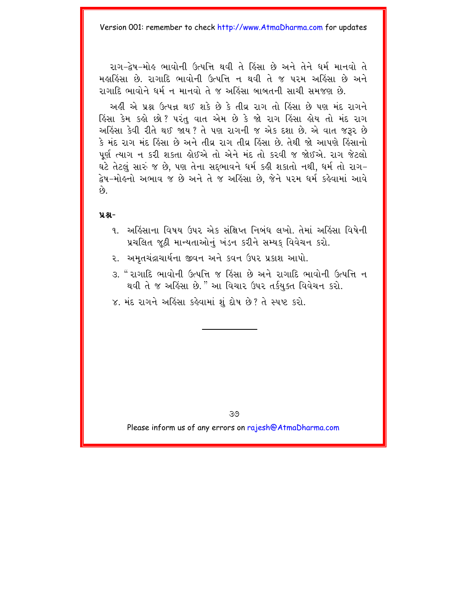રાગ-દેષ-મોહ ભાવોની ઉત્પત્તિ થવી તે હિંસા છે અને તેને ધર્મ માનવો તે મહાહિંસા છે. રાગાદિ ભાવોની ઉત્પત્તિ ન થવી તે જ પરમ અહિંસા છે અને ગગાદિ ભાવોને ધર્મ ન માનવો તે જ અહિંસા બાબતની સાચી સમજણ છે.

અહીં એ પ્રશ્ન ઉત્પન્ન થઈ શકે છે કે તીવ રાગ તો હિંસા છે પણ મંદ રાગને હિંસા કેમ કહો છો? પરંત વાત એમ છે કે જો રાગ હિંસા હોય તો મંદ રાગ અહિંસા કેવી રીતે થઈ જાય ? તે પણ રાગની જ એક દશા છે. એ વાત જરૂર છે કે મંદ રાગ મંદ હિંસા છે અને તીવ રાગ તીવ હિંસા છે તેથી જો આપણે હિંસાનો પૂર્ણ ત્યાગ ન કરી શકતા હોઈએ તો એને મંદ તો કરવી જ જોઈએ. રાગ જેટલો ઘટે તેટલં સારું જ છે. પણ તેના સદભાવને ધર્મ કહી શકાતો નથી. ધર્મ તો રાગ-દ્વેષ-મોઙ્નો અભાવ જ છે અને તે જ અઙિંસા છે. જેને પરમ ધર્મ ક<mark>ર્</mark>ઠવામાં આવે  $\hat{\rho}_3$ 

#### $9.8 -$

- ૧. અર્હિસાના વિષય ઉપર એક સંક્ષિપ્ત નિબંધ લખો. તેમાં અર્હિસા વિષેની પ્રચલિત જઠી માન્યતાઓનું ખંડન કરીને સમ્યક વિવેચન કરો.
- ૨. અમૃતચંદ્રાચાર્યના જીવન અને કવન ઉપર પ્રકાશ આપો.
- ૩. " રાગાદિ ભાવોની ઉત્પત્તિ જ હિંસા છે અને રાગાદિ ભાવોની ઉત્પત્તિ ન થવી તે જ અહિંસા છે." આ વિચાર ઉપર તર્કયુક્ત વિવેચન કરો.
- ૪. મંદ રાગને અહિંસા કહેવામાં શું દોષ છે? તે સ્પષ્ટ કરો.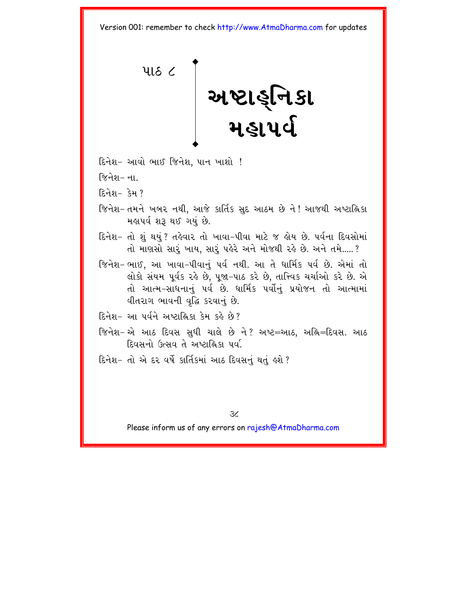<span id="page-41-0"></span>

- દિનેશ- આવો ભાઈ જિનેશ, પાન ખાશો !
- જિનેશ– न।
- દિનેશ $-$  કેમ ?
- જિનેશ- તમને ખબર નથી, આજે કાર્તિક સુદ આઠમ છે ને ! આજથી અષ્ટાહ્નિકા મહાપર્વશરૂ થઈ ગયું છે.
- દિનેશ− તો શું થયું ? તઙેવાર તો ખાવા−પીવા માટે જ ઙોય છે. ૫ર્વના દિવસોમાં તો માણસો સારૂં ખાય, સારૂં પહેરે અને મોજથી રહે છે. અને તમે.....?
- જિનેશ-ભાઈ, આ ખાવા-પીવાનું પર્વ નથી. આ તે ધાર્મિક પર્વ છે. એમાં તો લોકો સંયમ પર્વક રહે છે. ૫જા-૫ાઠ કરે છે. તાત્ત્વિક ચર્ચાઓ કરે છે. એ તો આત્મ-સાધનાનું પર્વ છે. ધાર્મિક પર્વોનું પ્રયોજન તો આત્મામાં वीतराग लावनी वृद्धि sरवानुं છે.
- દિનેશ- આ પર્વને અષ્ટાહ્નિકા કેમ કહે છે?
- જિનેશ− એ આઠ દિવસ સુધી ચાલે છે ને? અષ્ટ=આઠ, અહિ=દિવસ. આઠ દિવસનો ઉત્સવ તે અષ્ટાહ્નિકા પર્વા
- દિનેશ- તો એ દર વર્ષે કાર્તિકમાં આઠ દિવસનું થતું હશે ?

 $\overline{\mathcal{X}}$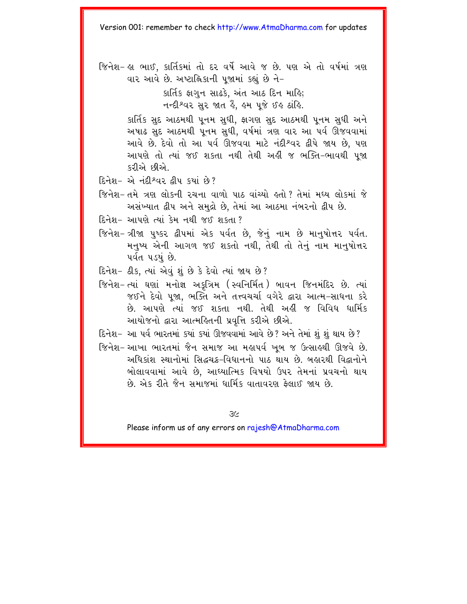જિનેશ- જ્ઞ ભાઈ, કાર્તિકમાં તો દર વર્ષે આવે જ છે. પણ એ તો વર્ષમાં ત્રણ વાર આવે છે. અષ્ટાહ્નિકાની પુજામાં કહ્યું છે ને-

> કાર્તિક ફાગુન સાઢકે, અંત આઠ દિન માહિ; નન્દીશ્વર સુર જાત હૈં. હુમ પુજે ઈહ ઠાંહિ.

કાર્તિક સુદ આઠમથી પુનમ સુધી, ફાગણ સુદ આઠમથી પુનમ સુધી અને અષાઢ સુદ આઠમથી પૂનમ સુધી, વર્ષમાં ત્રણ વાર આ પર્વ ઊજવવામાં આવે છે. દેવો તો આ પર્વ ઊજવવા માટે નંદીશ્વર દ્વીપે જાય છે, પણ આપણે તો ત્યાં જઈ શકતા નથી તેથી અહીં જ ભક્તિ-ભાવથી પૂજા કરીએ છીએ.

- $\widehat{E}$ નેશ- એ નંદી શ્વર દીપ કર્યા છે?
- જિનેશ- તમે ત્રણ લોકની રચના વાળો પાઠ વાંચ્યો હતો? તેમાં મધ્ય લોકમાં જે અસંખ્યાત દ્વીપ અને સમુદ્રો છે. તેમાં આ આઠમા નંબરનો દ્વીપ છે.
- દિનેશ- આપણે ત્યાં કેમ નથી જઈ શકતા ?
- જિનેશ-ત્રીજા પુષ્કર દ્વીપમાં એક પર્વત છે. જેનું નામ છે માનુષોત્તર પર્વત. મનુષ્ય એની આગળ જઈ શકતો નથી. તેથી તો તેનું નામ માનુષોત્તર પર્વત પડયું છે.
- દિનેશ- ઠીક, ત્યાં એવું શું છે કે દેવો ત્યાં જાય છે?
- જિનેશ-ત્યાં ઘણાં મનોજ્ઞ અકત્રિમ (સ્વનિર્મિત) બાવન જિનમંદિર છે. ત્યાં જઈને દેવો ૫જા. ભક્તિ અને તત્ત્વચર્ચા વગેરે દ્વારા આત્મ-સાધના કરે છે. આપણે ત્યાં જઈ શકતા નથી. તેથી અહીં જ વિવિધ ધાર્મિક આયોજનો દ્વારા આત્મહિતની પ્રવત્તિ કરીએ છીએ.
- દિનેશ- આ પર્વ ભારતમાં કયાં કયાં ઊજવવામાં આવે છે? અને તેમાં શું શું થાય છે?
- જિનેશ- આખા ભારતમાં જૈન સમાજ આ મહાપર્વ ખબ જ ઉત્સાહથી ઊજવે છે. અધિકાંશ સ્થાનોમાં સિદ્ધચક્ર-વિધાનનો પાઠ થાય છે. બહારથી વિદ્વાનોને બોલાવવામાં આવે છે, આઘ્યાત્મિક વિષયો ઉપર તેમનાં પ્રવચનો થાય છે. એક રીતે જૈન સમાજમાં ધાર્મિક વાતાવરણ કેલાઈ જાય છે.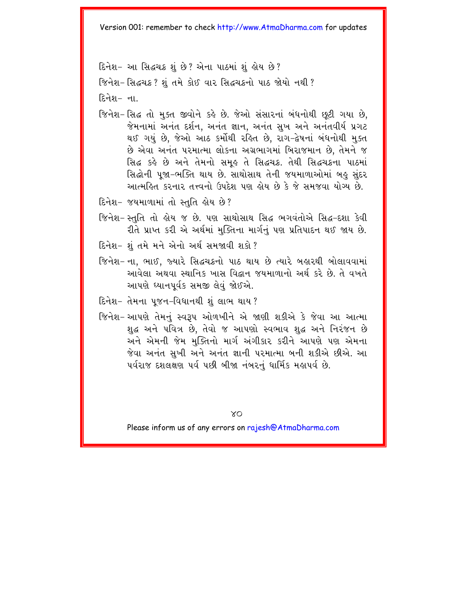દિનેશ- આ સિદ્ધચક્ર શું છે? એના પાઠમાં શું હોય છે?

જિનેશ-સિદ્ધચક્ર? શંતમે કોઈ વાર સિદ્ધચક્રનો પાઠ જોયો નથી?

<u> हिनेश– चा</u>

- જિનેશ-સિદ્ધ તો મુક્ત જીવોને કહે છે. જેઓ સંસારનાં બંધનોથી છૂટી ગયા છે, જેમનામાં અનંત દર્શન, અનંત જ્ઞાન, અનંત સુખ અને અનંતવીર્ય પ્રગટ થઈ ગયું છે, જેઓ આઠ કર્મોથી રહિત છે, રાગ-દેષનાં બંધનોથી મુક્ત છે એવા અનંત પરમાત્મા લોકના અગ્રભાગમાં બિરાજમાન છે, તેમને જ સિદ્ધ કહે છે અને તેમનો સમુહ તે સિદ્ધચક્ર. તેથી સિદ્ધચક્રના પાઠમાં સિદ્ધોની પુજા-ભક્તિ થાય છે. સાથોસાથ તેની જયમાળાઓમાં બહુ સુંદર આત્મહિત કરનાર તત્ત્વનો ઉપદેશ પણ હોય છે કે જે સમજવા યોગ્ય છે.
- દિનેશ- જયમાળામાં તો સ્તુતિ હોય છે?
- જિનેશ- સ્તુતિ તો હોય જ છે. પણ સાથોસાથ સિદ્ધ ભગવંતોએ સિદ્ધ–દશા કેવી રીતે પ્રાપ્ત કરી એ અર્થમાં મુક્તિના માર્ગનું પણ પ્રતિપાદન થઈ જાય છે.
- દિનેશ- શંતમે મને એનો અર્થસમજાવી શકો?
- જિનેશ- ના, ભાઈ, જ્યારે સિદ્ધચક્રનો પાઠ થાય છે ત્યારે બહારથી બોલાવવામાં આવેલા અથવા સ્થાનિક ખાસ વિદ્વાન જયમાળાનો અર્થ કરે છે. તે વખતે આપણે ઘ્યાનપૂર્વક સમજી લેવું જોઈએ.
- દિનેશ- તેમના ૫જન-વિધાનથી શું લાભ થાય ?
- જિનેશ- આપણે તેમનું સ્વરૂપ ઓળખીને એ જાણી શકીએ કે જેવા આ આત્મા શહ્ન અને પવિત્ર છે. તેવો જ આપણો સ્વભાવ શહ્ન અને નિરંજન છે અને એમની જેમ મક્તિનો માર્ગ અંગીકાર કરીને આપણે પણ એમના જેવા અનંત સખી અને અનંત જ્ઞાની પરમાત્મા બની શકીએ છીએ. આ પર્વરાજ દશલક્ષણ પર્વ પછી બીજા નંબરનું ધાર્મિક મહાપર્વ છે.

**XO**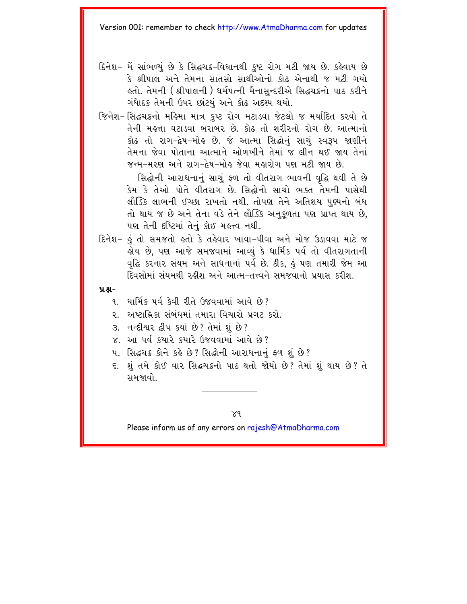- દિનેશ- મેં સાંભળ્યું છે કે સિદ્ધચક્ર-વિધાનથી કુષ્ટ રોગ મટી જાય છે. કહેવાય છે કે શ્રીપાલ અને તેમના સાતસો સાથીઓનો કોઢ એનાથી જ મટી ગયો લ્તો. તેમની ( શ્રીપાલની ) ધર્મપત્ની મૈનાસન્દરીએ સિદ્ધચક્રનો પાઠ કરીને ગંધાદક તેમની ઉપર છાંટયું અને કોઢ અદશ્ય થયો.
- જિનેશ-સિદ્ધચક્રનો મહિમા માત્ર કષ્ટ રોગ મટાડવા જેટલો જ મર્યાદિત કરવો તે તેની મહત્તા ઘટાડવા બરાબર છે. કોઢ તો શરીરનો રોગ છે. આત્માનો કોઢ તો રાગ-દેષ-મોલ્ છે. જે આત્મા સિદ્ધોનું સાચું સ્વરૂપ જાણીને तेमना જેવા પોતાના આત્માને ઓળખીને તેમાં જ લીન થઈ જાય તેનાં જન્મ–મરણ અને રાગ–દેષ–મોહ જેવા મહારોગ પણ મટી જાય છે.

સિદ્ધોની આરાધનાનું સાચું ફળ તો વીતરાગ ભાવની વૃદ્ધિ થવી તે છે કેમ કે તેઓ પોતે વીતરાગ છે. સિદ્ધોનો સાચો ભક્ત તેમની પાસેથી લૌક્કિ લાભની ઈચ્છા રાખતો નથી. તોપણ તેને અતિશય પણ્યનો બંધ તો થાય જ છે અને તેના વડે તેને લૌક્કિ અનુકુળતા પણ પ્રાપ્ત થાય છે, પણ તેની દષ્ટિમાં તેનું કોઈ મહત્ત્વ નથી.

દિનેશ- હું તો સમજતો હતો કે તહેવાર ખાવા-પીવા અને મોજ ઉડાવવા માટે જ લ્રોય છે. પણ આજે સમજવામાં આવ્યં કે ધાર્મિક પર્વ તો વીતરાગતાની વદ્ધિ કરનાર સંયમ અને સાધનાનાં ૫ર્વ છે. ઠીક. કું પણ તમારી જેમ આ દિવસોમાં સંયમથી રહીશ અને આત્મ–તત્ત્વને સમજવાનો પ્રયાસ કરીશ

#### $9.8 -$

- १ धार्मिक पूर्व केवी रीते (१९४०)मां सावे छे?
- ર. અષ્ટાહ્નિકા સંબંધમાં તમારા વિચારો પ્રગટ કરો.
- 3. નન્દીશ્વર દ્વીપ કયાં છે? તેમાં શં છે?
- $\times$  આ પૂર્વ કચારે કચારે ઉજવવામાં આવે છે?
- 4. सिद्धय क्षेत्रे s हे છे ? सिद्धोनी આરાધનાનું ફળ શું છે ?
- ૬. શું તમે કોઈ વાર સિદ્ધચક્રનો પાઠ થતો જોયો છે? તેમાં શું થાય છે? તે સમજાવો

 $X<sup>q</sup>$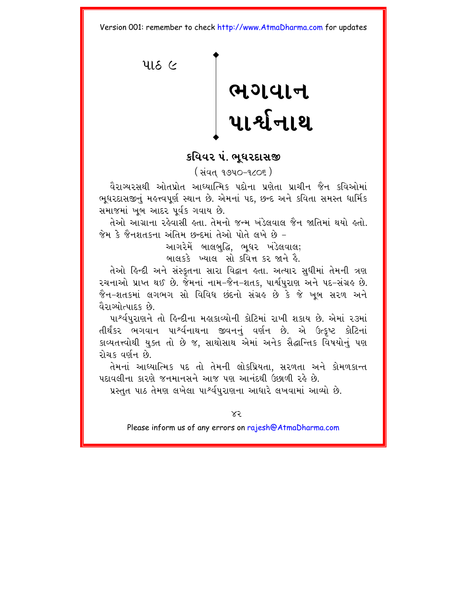<span id="page-45-0"></span> $416$   $\alpha$ 

# ભગવાન<br>પાર્શ્વનાથ

#### કવિવર પં. ભઘરદાસજી

( સંવત ૧૭૫૦-૧૮૦૬)

વૈરાગ્યરસથી ઓતપ્રોત આઘ્યાત્મિક પદોના પ્રણેતા પ્રાચીન જૈન કવિઓમાં ભુધરદાસજીનું મહત્ત્વપૂર્ણ સ્થાન છે. એમનાં પદ, છન્દ અને કવિતા સમસ્ત ધાર્મિક સમાજમાં ખુબ આદર પર્વક ગવાય છે.

તેઓ આગ્રાના રહેવાસી હતા. તેમનો જન્મ ખંડેલવાલ જૈન જાતિમાં થયો હતો. જેમ કે જૈનશતકના અંતિમ છન્દમાં તેઓ પોતે લખે છે –

આગરેમેં બાલબદ્ધિ. ભઘર ખંડેલવાલ;

બાલકકે ખ્યાલ સો કવિત્ત કર જાને હૈ

તેઓ ઙિન્દી અને સંસ્કતના સારા વિદ્વાન હતા. અત્યાર સધીમાં તેમની ત્રણ રચનાઓ પ્રાપ્ત થઈ છે. જેમનાં નામ-જૈન-શતક. પાર્શપરાણ અને પદ-સંગ્રહ છે. જૈન-શતકમાં લગભગ સો વિવિધ છંદનો સંગ્રઙ છે કે જે ખૂબ સરળ અને વૈરાગ્યોત્પાદક છે.

પા<sup>શ્</sup>ર્વપુરાણને તો હિન્દીના મહાકાવ્યોની કોટિમાં રાખી શકાય છે. એમાં ૨૩માં તીર્થંકર ભગવાન પાર્શ્વનાથના જીવનનું વર્ણન છે. એ ઉત્કૃષ્ટ કોટિનાં કાવ્યતત્ત્વોથી યુક્ત તો છે જ. સાથોસાથ એમાં અનેક સૈદ્ધાન્તિક વિષયોનું પણ રોચક લર્ણન છે.

તેમનાં આધ્યાત્મિક પદ તો તેમની લોકપ્રિયતા. સરળતા અને કોમળકાન્ત પદાવલીના કારણે જનમાનસને આજ પણ આનંદથી ઉછાળી રહે છે.

પ્રસ્તુત પાઠ તેમણ લખેલા પાર્શ્વપુરાણના આધારે લખવામાં આવ્યો છે.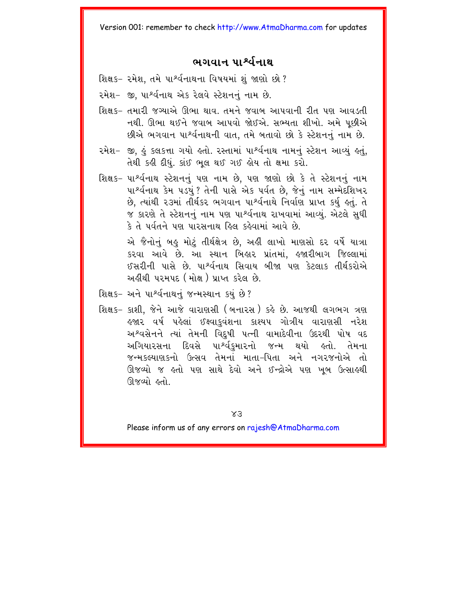#### ભગવાન પાર્શ્વનાથ

- શિક્ષક- રમેશ, તમે પાર્શ્વનાથના વિષયમાં શું જાણો છો?
- રમેશ- જી, પા<sup>શ્</sup>ર્વનાથ એક રેલવે સ્ટેશનનું નામ છે.
- શિક્ષક- તમારી જગ્યાએ ઊભા થાવ. તમને જવાબ આપવાની રીત પણ આવડતી નથી. ઊભા થઈને જવાબ આપવો જોઈએ. સભ્યતા શીખો. અમે પૂછીએ છીએ ભગવાન પાર્શ્વનાથની વાત, તમે બતાવો છો કે સ્ટેશનનું નામ છે.
- રમેશ- જી. કું કલકત્તા ગયો કરતો. રસ્તામાં પા<sup>શ્</sup>ર્વનાથ નામનું સ્ટેશન આવ્યું કર્તુ. તેથી કહી દીધું. કાંઈ ભુલ થઈ ગઈ હોય તો ક્ષમા કરો.
- શિક્ષક- પાર્શ્વનાથ સ્ટેશનનું પણ નામ છે. પણ જાણો છો કે તે સ્ટેશનનું નામ પાર્શ્વનાથ કેમ ૫ડયું ? તેની પાસે એક ૫ર્વત છે. જેનું નામ સમ્મેદશિખર છે, ત્યાંથી ૨૩માં તીર્થકર ભગવાન પાર્શ્વનાથે નિર્વાણ પ્રાપ્ત કર્યુ હતું. તે જ કારણે તે સ્ટેશનનું નામ પણ પા<sup>શ્</sup>ર્વનાથ રાખવામાં આવ્યું. એટલે સુધી કે તે પર્વતને પણ પારસનાથ હિલ કહેવામાં આવે છે.

એ જૈનોનું બહુ મોટું તીર્થક્ષેત્ર છે. અહીં લાખો માણસો દર વર્ષે યાત્રા કરવા આવે છે. આ સ્થાન બિહાર પ્રાંતમાં, હજારીબાગ જિલ્લામાં ઈસરીની પાસે છે પા<sup>શ્</sup>ર્વનાથ સિવાય બીજા પણ કેટલાક તીર્થકરોએ અહીંથી પરમપદ (મોક્ષ) પ્રાપ્ત કરેલ છે.

- શિક્ષક- અને પાર્શ્વનાથનું જન્મસ્થાન કયું છે?
- શિક્ષક- કાશી. જેને આજે વારાણસી (બનારસ) કહે છે. આજથી લગભગ ત્રણ હજાર વર્ષ પહેલાં ઈક્ષ્વાકુવંશના કાશ્યપ ગોત્રીય વારાણસી નરેશ અશ્વસેનને ત્યાં તેમની વિદ્દષી પત્ની વામાદેવીના ઉદરથી પોષ વદ અગિયારસના દિવસે પા<sup>શ્</sup>ર્વકુમારનો જન્મ થયો હતો. તેમના જન્મકલ્યાણકનો ઉત્સવ તેમનાં માતા-પિતા અને નગરજનોએ તો ઊજવ્યો જ હતો પણ સાથે દેવો અને ઈન્દ્રોએ પણ ખૂબ ઉત્સાહથી ઊજવ્યો ઠતો

 $X_3$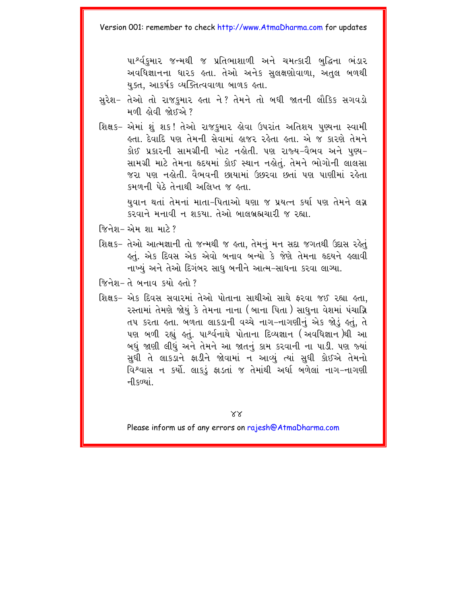પાર્શ્વકમાર જન્મથી જ પ્રતિભાશાળી અને ચમત્કારી બદ્ધિના ભંડાર અવધિજ્ઞાનના ધારક હતા. તેઓ અનેક સલક્ષણોવાળા. અતલ બળથી યુક્ત, આકર્ષક વ્યક્તિત્વવાળા બાળક હતા.

- સુરેશ- તેઓ તો રાજકુમાર હતા ને? તેમને તો બધી જાતની લૌકિક સગવડો મળી હોવી જોઈએ?
- શિક્ષક– એમાં શું શક! તેઓ રાજકુમાર હોવા ઉપરાંત અતિશય પુણ્યના સ્વામી લતા. દેવાદિ પણ તેમની સેવામાં હાજર રહેતા હતા. એ જ કારણે તેમને કોઈ પ્રકારની સામગ્રીની ખોટ નહોતી. પણ રાજ્ય–વૈભવ અને પુણ્ય– સામગ્રી માટે તેમના હૃદયમાં કોઈ સ્થાન નહોતું. તેમને ભોગોની લાલસા જરા પણ નહોતી. વૈભવની છાયામાં ઉછરવા છતાં પણ પાણીમાં રહેતા કમળની પેઠે તેનાથી અલિપ્ત જ હતા. યુવાન થતાં તેમનાં માતા-પિતાઓ ઘણા જ પ્રયત્ન કર્યા પણ તેમને લગ્ન

કરવાને મનાવી ન શકયા. તેઓ બાલબ્રહ્મચારી જ રહ્યા.

- જિનેશ- એમ શા માટે ?
- શિક્ષક– તેઓ આત્મજ્ઞાની તો જન્મથી જ હતા, તેમનું મન સદા જગતથી ઉદાસ રહેતું કર્તુ. એક દિવસ એક એવો બનાવ બન્યો કે જેણે તેમના હૃદયને ક્લાવી નાખ્યું અને તેઓ દિગંબર સાધુ બનીને આત્મ-સાધના કરવા લાગ્યા.
- જિનેશ-તે બનાવ કર્યો હતો?
- શિક્ષક- એક દિવસ સવારમાં તેઓ પોતાના સાથીઓ સાથે ફરવા જઈ રહ્યા હતા. રસ્તામાં તેમણે જોયં કે તેમના નાના (બાના પિતા ) સાધુના વેશમાં પંચાગ્નિ તપ કરતા હતા. બળતા લાકડાની વચ્ચે નાગ-નાગણીનું એક જોડું હતું, તે પણ બળી રહ્યું હતું. પા<sup>ષ્ર</sup>ર્વનાથે પોતાના દિવ્યજ્ઞાન (અવધિજ્ઞાન)થી આ બધું જાણી લીધું અને તેમને આ જાતનું કામ કરવાની ના પાડી. પણ જ્યાં સુધી તે લાકડાને ફાડીને જોવામાં ન આવ્યું ત્યાં સુધી કોઈએ તેમનો વિશ્વાસ ન કર્યો. લાકડું ફાડતાં જ તેમાંથી અર્ધા બળેલાં નાગ-નાગણી ની કળ્યાં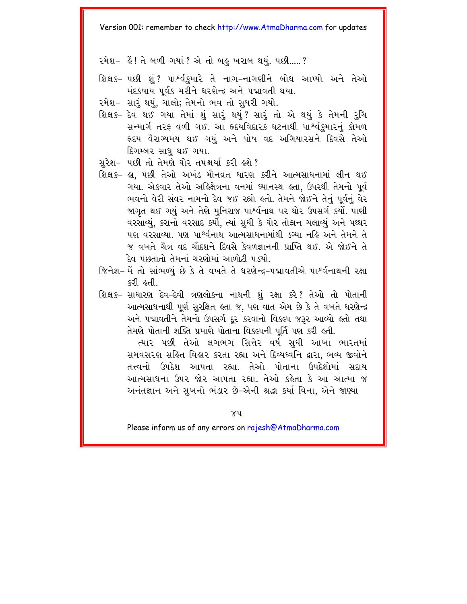રમેશ- હેં! તે બળી ગયાં ? એ તો બહુ ખરાબ થયં. પછી..... ?

- શિક્ષક- પછી શું? પાર્શ્વકુમારે તે નાગ-નાગણીને બોધ આપ્યો અને તેઓ મંદકષાય પર્વક મરીને ધરણેન્દ્ર અને પદ્માવતી થયા.
- રમેશ- સારંથયું. ચાલો; તેમનો ભવ તો સુધરી ગયો.
- શિક્ષક- દેવ થઈ ગયા તેમાં શું સારું થયું? સારું તો એ થયું કે તેમની રુચિ સન્માર્ગ તરફ વળી ગઈ. આ હૃદયવિદારક ઘટનાથી પાર્શ્વકુમારનું કોમળ હૃદય વૈરાગ્યમય થઈ ગયું અને પોષ વદ અગિયારસને દિવસે તેઓ દિગમ્બર સાધ થઈ ગયા.
- સરેશ- પછી તો તેમણે ઘોર તપશ્ચર્યા કરી હશે?
- શિક્ષક- હ્યુ. પછી તેઓ અખંડ મૌનવ્રત ધારણ કરીને આત્મસાધનામાં લીન થઈ ગયા. એકવાર તેઓ અહિક્ષેત્રના વનમાં ઘ્યાનસ્થ હતા, ઉપરથી તેમનો પૂર્વ ભવનો વેરી સંવર નામનો દેવ જઈ રહ્યો હતો. તેમને જોઈને તેનું પૂર્વનું વેર જાગૃત થઈ ગયું અને તેણે મુનિરાજ પાર્શ્વનાથ પર ઘોર ઉપસર્ગ કર્યો. પાણી વરસાવ્યું, કરાનો વરસાદ કર્યો, ત્યાં સુધી કે ઘોર તોફાન ચલાવ્યું અને પથ્થર પણ વરસાવ્યા. પણ પાર્શ્વનાથ આત્મસાધનામાંથી ડગ્યા નહિ અને તેમને તે જ વખતે ચૈત્ર વદ ચૌદશને દિવસે કેવળજ્ઞાનની પ્રાપ્તિ થઈ એ જોઈને તે દેવ પછતાતો તેમનાં ચરણોમાં આળોટી પડ્યો
- જિનેશ- મેં તો સાંભળ્યું છે કે તે વખતે તે ધરણેન્દ્ર-પદ્માવતીએ પાર્શ્વનાથની રક્ષા (န၁ါ နဝါ
- શિક્ષક- સાધારણ દેવ-દેવી ત્રણલોકના નાથની શું રક્ષા કરે? તેઓ તો પોતાની આત્મસાધનાથી પર્ણ સરક્ષિત હતા જ. પણ વાત એમ છે કે તે વખતે ધરણેન્દ્ર અને પદ્માવતીને તેમનો ઉપસર્ગ દર કરવાનો વિકલ્પ જરૂર આવ્યો હતો તથા તેમણે પોતાની શક્તિ પ્રમાણે પોતાના વિકલ્પની પૂર્તિ પણ કરી હતી.

ત્યાર પછી તેઓ લગભગ સિત્તેર વર્ષ સધી આખા ભારતમાં સમવસરણ સહિત વિહાર કરતા રહ્યા અને દિવ્યધ્વનિ દ્વારા. ભવ્ય જીવોને તત્ત્વનો ઉપદેશ આપતા રહ્યા તેઓ પોતાના ઉપદેશોમાં સદાય આત્મસાધના ઉપર જોર આપતા રહ્યા. તેઓ કહેતા કે આ આત્મા જ અનંતજ્ઞાન અને સખનો ભંડાર છે-એની શ્રદ્ધા કર્યા વિના. એને જાણ્યા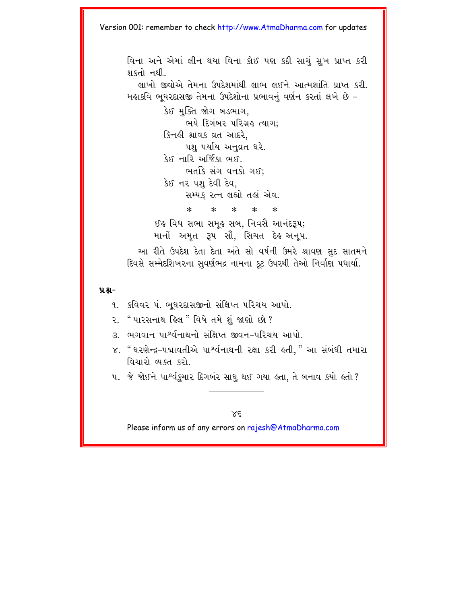વિના અને એમાં લીન થયા વિના કોઈ પણ કદી સાચં સખ પ્રાપ્ત કરી શકતો નથી. લાખો જીવોએ તેમના ઉપદેશમાંથી લાભ લઈને આત્મગ્રાંતિ પાપ્ત કરી મહાકવિ ભધરદાસજી તેમના ઉપદેશોના પ્રભાવનં વર્ણન કરતાં લખે છે -કેઈ મુક્તિ જોગ બડભાગ. ભયે દિગંબર પરિગ્રહ ત્યાગ: કિનફી શ્રાવક વ્રત આદરે. પશ પર્યાય અનુવ્રત ઘરે. કેઈ નારિ અર્જિકા ભઈ. ભર્તાકે સંગ વનકો ગઈ; કેઈ નર પશ દેવી દેવ. સમ્યક રત્ન લહ્યો તહાં એવ.  $* * * * *$  $\ast$ ઈઙ વિધ સભા સમુક સબ, નિવસૈ આનંદરૂપ; માનો અમૃત રૂપ સૌ, સિચત દેહ અનૂપ.

આ રીતે ઉપદેશ દેતા દેતા અંતે સો વર્ષની ઉમરે શ્રાવણ સુદ સાતમને દિવસે સમ્મેદશિખરના સુવર્ણભદ્ર નામના કુટ ઉપરથી તેઓ નિર્વાણ પધાર્યા.

#### $9.8 -$

- ૧. કવિવર પં. ભુધરદાસજીનો સંક્ષિપ્ત પરિચય આપો.
- ૨. " પારસનાથ હિલ " વિષે તમે શું જાણો છો?
- ૩. ભગવાન પાર્શ્વનાથનો સંક્ષિપ્ત જીવન–પરિચય આપો.
- ૪. " ધરણેન્દ્ર–પદ્માવતીએ પાર્શ્વનાથની રક્ષા કરી હતી," આ સંબંધી તમારા વિચારો વ્યક્ત કરો
- ૫. જે જોઈને પાર્શ્વકુમાર દિગબંર સાધુ થઈ ગયા હતા, તે બનાવ કયો હતો ?

 $X \in$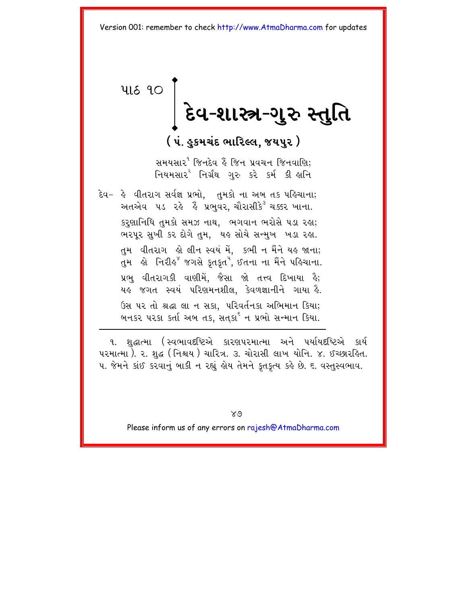<span id="page-50-0"></span>**418 90** 

# │ દેવ-શાસ્ત્ર-ગુરુ સ્તુતિ

( ૫ં. હુકમચંદ ભારિલ્લ, જયપુર )

સમયસાર<sup>ય</sup> જિનદેવ કે જિન પ્રવચન જિનવાણિ; નિયમસાર<sup>ર</sup> નિર્ગ્રંથ ગરુ કરે કર્મ કી લાનિ

દેવ- હે વીતરાગ સર્વજ્ઞ પ્રભો. તમકો ના અબ તક પહિચાના; અતએવ ૫ડ રહે હૈં પ્રભવર, ચૌરાસીકે<sup>ર</sup> ચક્કર ખાના. કરુણાનિધિ તુમકો સમઝ નાથ, ભગવાન ભરોસે ૫ડા રહા; ભરપૂર સુખી કર દોગે તુમ, યહ સોચે સન્મુખ ખડા રહા. તમ વીતરાગ હો લીન સ્વયં મેં. કભી ન મૈંને યહ જાના; પ્રભ વીતરાગકી વાણીમેં. જૈસા જો તત્ત્વ દિખાયા ઢે: યહુ જગત સ્વયં પરિણમનશીલ. કેવળજ્ઞાનીને ગાયા હૈ. ઉસ પર તો શ્રદ્ધા લા ન સકા, પરિવર્તનકા અભિમાન કિયા; બનકર પરકા કર્તા અબ તક, સતકા<sup>ર્દ</sup> ન પ્રભો સન્માન કિયા.

૧. શુદ્ધાત્મા (સ્વભાવદષ્ટિએ કારણપરમાત્મા અને પર્યાયદષ્ટિએ કાર્ય ૫૨માત્મા ). ૨. શુદ્ધ (નિશ્ચય ) ચારિત્ર. ૩. ચોરાસી લાખ યોનિ. ૪. ઈચ્છારહિત. ૫. જેમને કાંઈ કરવાનું બાકી ન રહ્યું હોય તેમને કુતકુત્ય કહે છે. ૬. વસ્તુસ્વભાવ.

 $X_{\varnothing}$